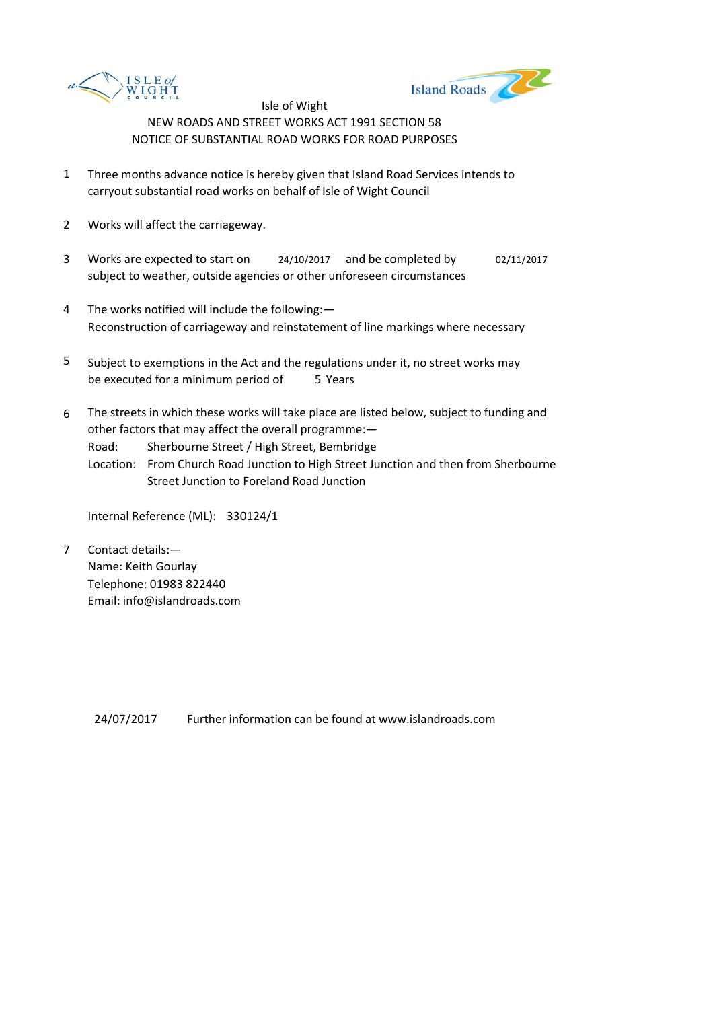



- 1 Three months advance notice is hereby given that Island Road Services intends to carryout substantial road works on behalf of Isle of Wight Council
- 2 Works will affect the carriageway.
- 3 Works are expected to start on <br>24/10/2017 and be completed by 02/11/2017 subject to weather, outside agencies or other unforeseen circumstances
- 4 The works notified will include the following:— Reconstruction of carriageway and reinstatement of line markings where necessary
- 5 be executed for a minimum period of 5 Years Subject to exemptions in the Act and the regulations under it, no street works may
- 6 The streets in which these works will take place are listed below, subject to funding and other factors that may affect the overall programme:—
	- Road: Sherbourne Street / High Street, Bembridge
	- Location: From Church Road Junction to High Street Junction and then from Sherbourne Street Junction to Foreland Road Junction

Internal Reference (ML): 330124/1

7 Contact details:— Name: Keith Gourlay Telephone: 01983 822440 Email: info@islandroads.com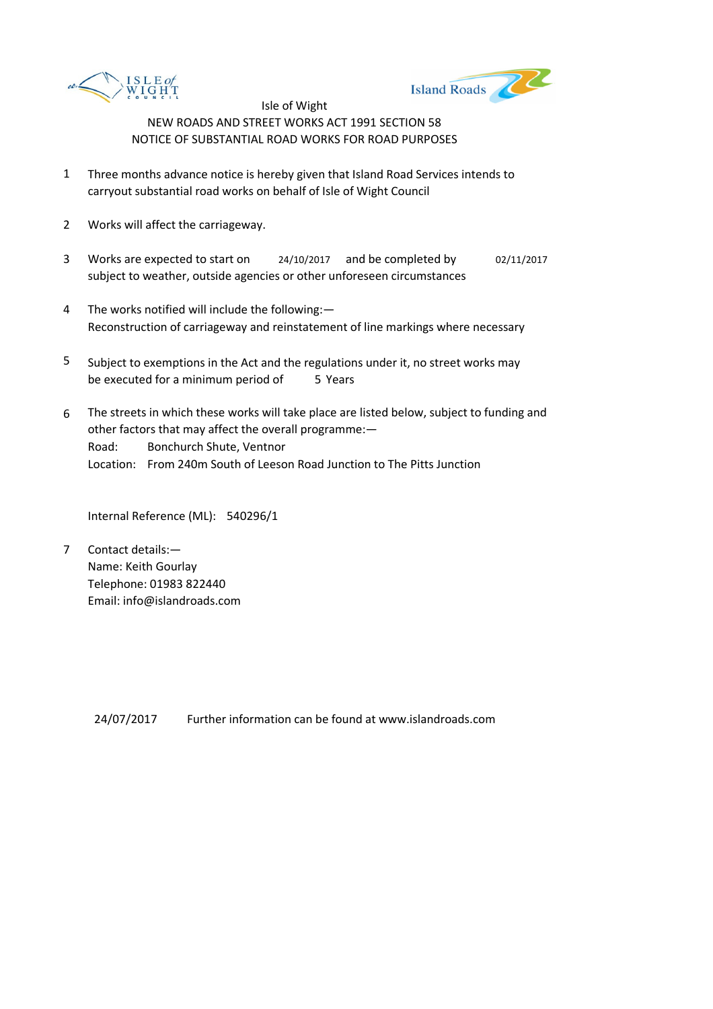



- 1 Three months advance notice is hereby given that Island Road Services intends to carryout substantial road works on behalf of Isle of Wight Council
- 2 Works will affect the carriageway.
- 3 Works are expected to start on <br>24/10/2017 and be completed by 02/11/2017 subject to weather, outside agencies or other unforeseen circumstances
- 4 The works notified will include the following:— Reconstruction of carriageway and reinstatement of line markings where necessary
- 5 be executed for a minimum period of 5 Years Subject to exemptions in the Act and the regulations under it, no street works may
- 6 Road: Bonchurch Shute, Ventnor Location: From 240m South of Leeson Road Junction to The Pitts Junction The streets in which these works will take place are listed below, subject to funding and other factors that may affect the overall programme:—

Internal Reference (ML): 540296/1

7 Contact details:— Name: Keith Gourlay Telephone: 01983 822440 Email: info@islandroads.com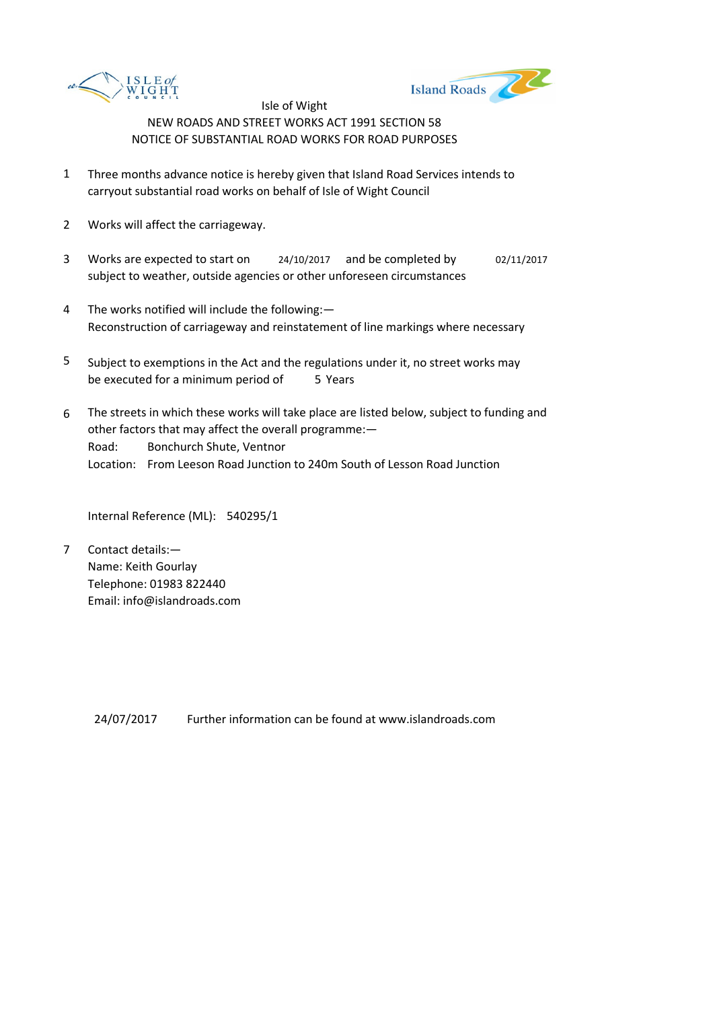



- 1 Three months advance notice is hereby given that Island Road Services intends to carryout substantial road works on behalf of Isle of Wight Council
- 2 Works will affect the carriageway.
- 3 Works are expected to start on <br>24/10/2017 and be completed by 02/11/2017 subject to weather, outside agencies or other unforeseen circumstances
- 4 The works notified will include the following:— Reconstruction of carriageway and reinstatement of line markings where necessary
- 5 be executed for a minimum period of 5 Years Subject to exemptions in the Act and the regulations under it, no street works may
- 6 Road: Bonchurch Shute, Ventnor Location: From Leeson Road Junction to 240m South of Lesson Road Junction The streets in which these works will take place are listed below, subject to funding and other factors that may affect the overall programme:—

Internal Reference (ML): 540295/1

7 Contact details:— Name: Keith Gourlay Telephone: 01983 822440 Email: info@islandroads.com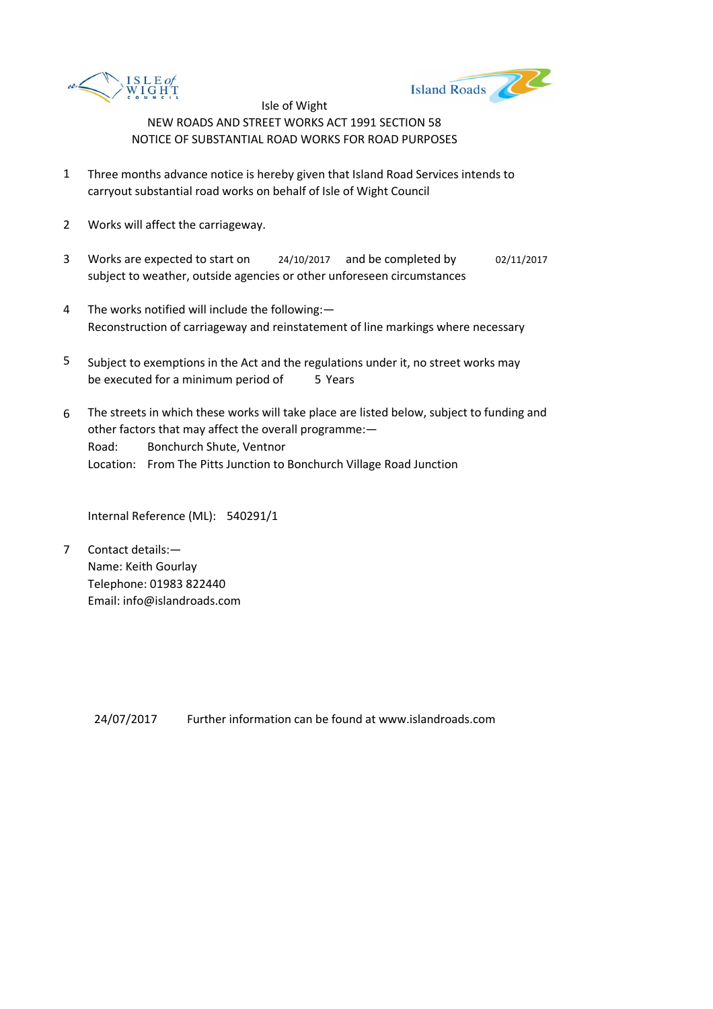



- 1 Three months advance notice is hereby given that Island Road Services intends to carryout substantial road works on behalf of Isle of Wight Council
- 2 Works will affect the carriageway.
- 3 Works are expected to start on <br>24/10/2017 and be completed by 02/11/2017 subject to weather, outside agencies or other unforeseen circumstances
- 4 The works notified will include the following:— Reconstruction of carriageway and reinstatement of line markings where necessary
- 5 be executed for a minimum period of 5 Years Subject to exemptions in the Act and the regulations under it, no street works may
- 6 Road: Bonchurch Shute, Ventnor Location: From The Pitts Junction to Bonchurch Village Road Junction The streets in which these works will take place are listed below, subject to funding and other factors that may affect the overall programme:—

Internal Reference (ML): 540291/1

7 Contact details:— Name: Keith Gourlay Telephone: 01983 822440 Email: info@islandroads.com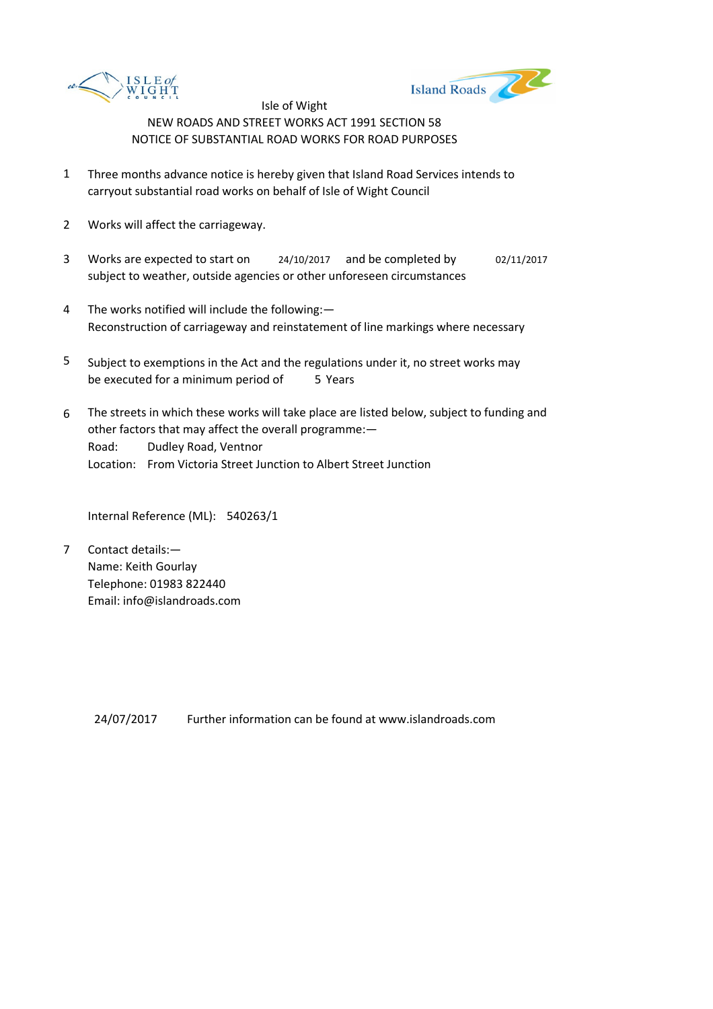



- 1 Three months advance notice is hereby given that Island Road Services intends to carryout substantial road works on behalf of Isle of Wight Council
- 2 Works will affect the carriageway.
- 3 Works are expected to start on <br>24/10/2017 and be completed by 02/11/2017 subject to weather, outside agencies or other unforeseen circumstances
- 4 The works notified will include the following:— Reconstruction of carriageway and reinstatement of line markings where necessary
- 5 be executed for a minimum period of 5 Years Subject to exemptions in the Act and the regulations under it, no street works may
- 6 Road: Dudley Road, Ventnor Location: From Victoria Street Junction to Albert Street Junction The streets in which these works will take place are listed below, subject to funding and other factors that may affect the overall programme:—

Internal Reference (ML): 540263/1

7 Contact details:— Name: Keith Gourlay Telephone: 01983 822440 Email: info@islandroads.com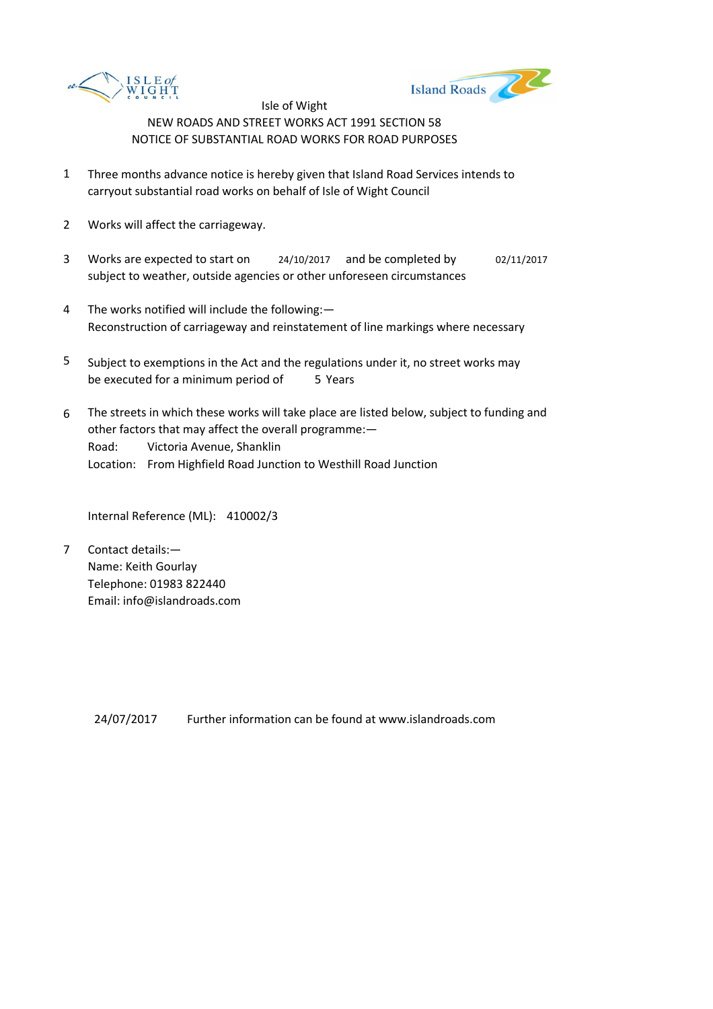



- 1 Three months advance notice is hereby given that Island Road Services intends to carryout substantial road works on behalf of Isle of Wight Council
- 2 Works will affect the carriageway.
- 3 Works are expected to start on <br>24/10/2017 and be completed by 02/11/2017 subject to weather, outside agencies or other unforeseen circumstances
- 4 The works notified will include the following:— Reconstruction of carriageway and reinstatement of line markings where necessary
- 5 be executed for a minimum period of 5 Years Subject to exemptions in the Act and the regulations under it, no street works may
- 6 Road: Victoria Avenue, Shanklin Location: From Highfield Road Junction to Westhill Road Junction The streets in which these works will take place are listed below, subject to funding and other factors that may affect the overall programme:—

Internal Reference (ML): 410002/3

7 Contact details:— Name: Keith Gourlay Telephone: 01983 822440 Email: info@islandroads.com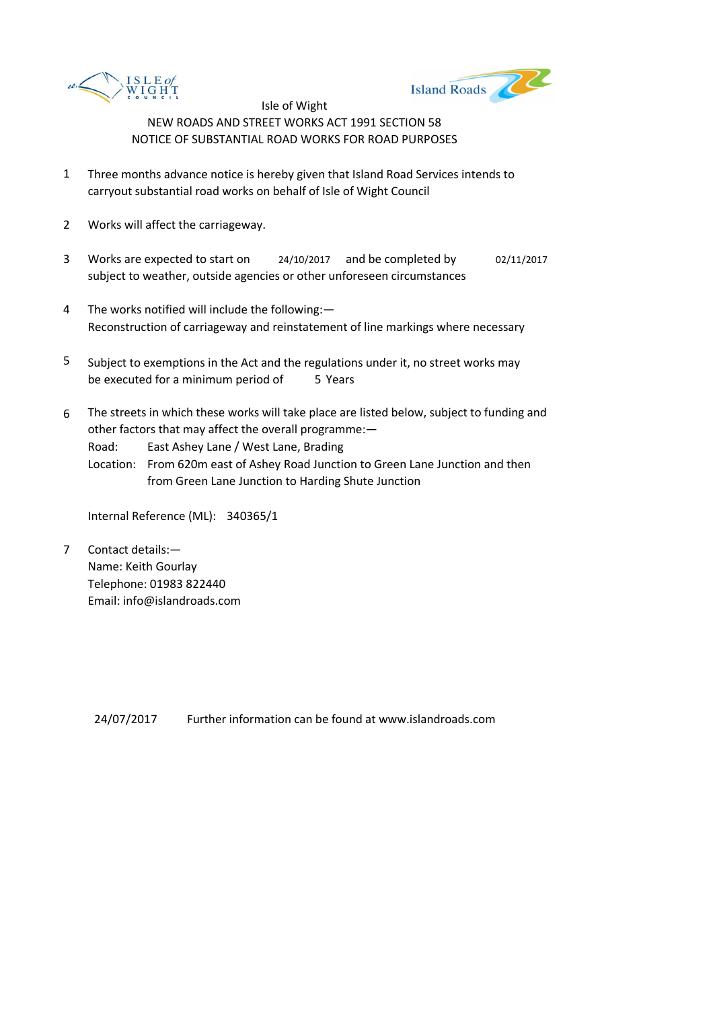



- 1 Three months advance notice is hereby given that Island Road Services intends to carryout substantial road works on behalf of Isle of Wight Council
- 2 Works will affect the carriageway.
- 3 Works are expected to start on <br>24/10/2017 and be completed by 02/11/2017 subject to weather, outside agencies or other unforeseen circumstances
- 4 The works notified will include the following:— Reconstruction of carriageway and reinstatement of line markings where necessary
- 5 be executed for a minimum period of 5 Years Subject to exemptions in the Act and the regulations under it, no street works may
- 6 The streets in which these works will take place are listed below, subject to funding and other factors that may affect the overall programme:—

Road: East Ashey Lane / West Lane, Brading

Location: From 620m east of Ashey Road Junction to Green Lane Junction and then from Green Lane Junction to Harding Shute Junction

Internal Reference (ML): 340365/1

7 Contact details:— Name: Keith Gourlay Telephone: 01983 822440 Email: info@islandroads.com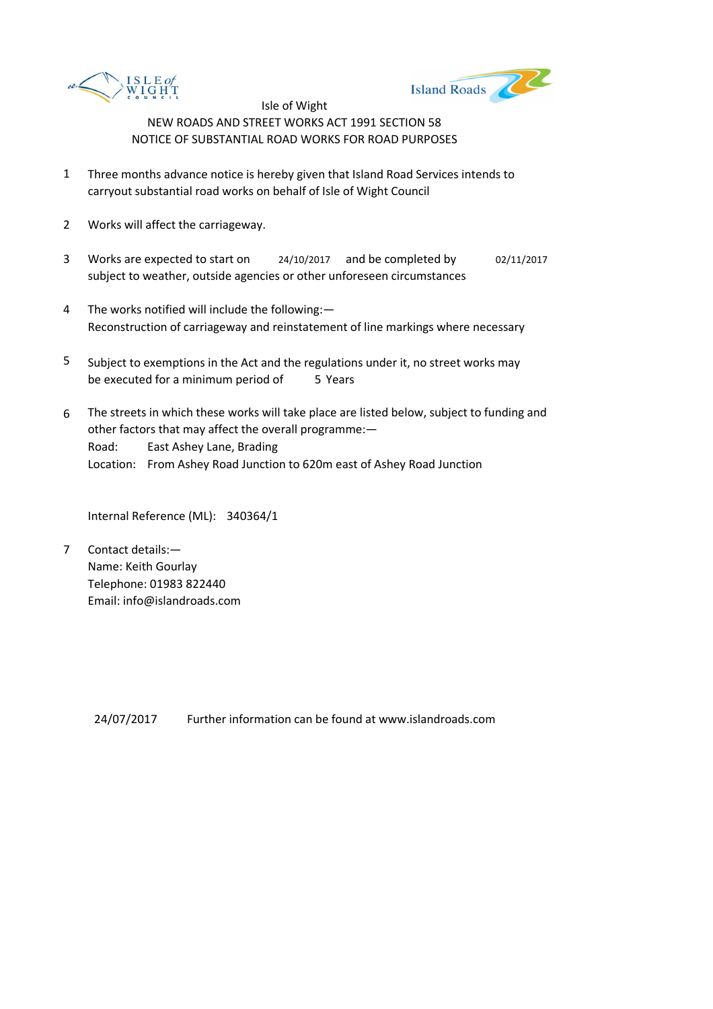



- 1 Three months advance notice is hereby given that Island Road Services intends to carryout substantial road works on behalf of Isle of Wight Council
- 2 Works will affect the carriageway.
- 3 Works are expected to start on <br>24/10/2017 and be completed by 02/11/2017 subject to weather, outside agencies or other unforeseen circumstances
- 4 The works notified will include the following:— Reconstruction of carriageway and reinstatement of line markings where necessary
- 5 be executed for a minimum period of 5 Years Subject to exemptions in the Act and the regulations under it, no street works may
- 6 Road: East Ashey Lane, Brading Location: From Ashey Road Junction to 620m east of Ashey Road Junction The streets in which these works will take place are listed below, subject to funding and other factors that may affect the overall programme:—

Internal Reference (ML): 340364/1

7 Contact details:— Name: Keith Gourlay Telephone: 01983 822440 Email: info@islandroads.com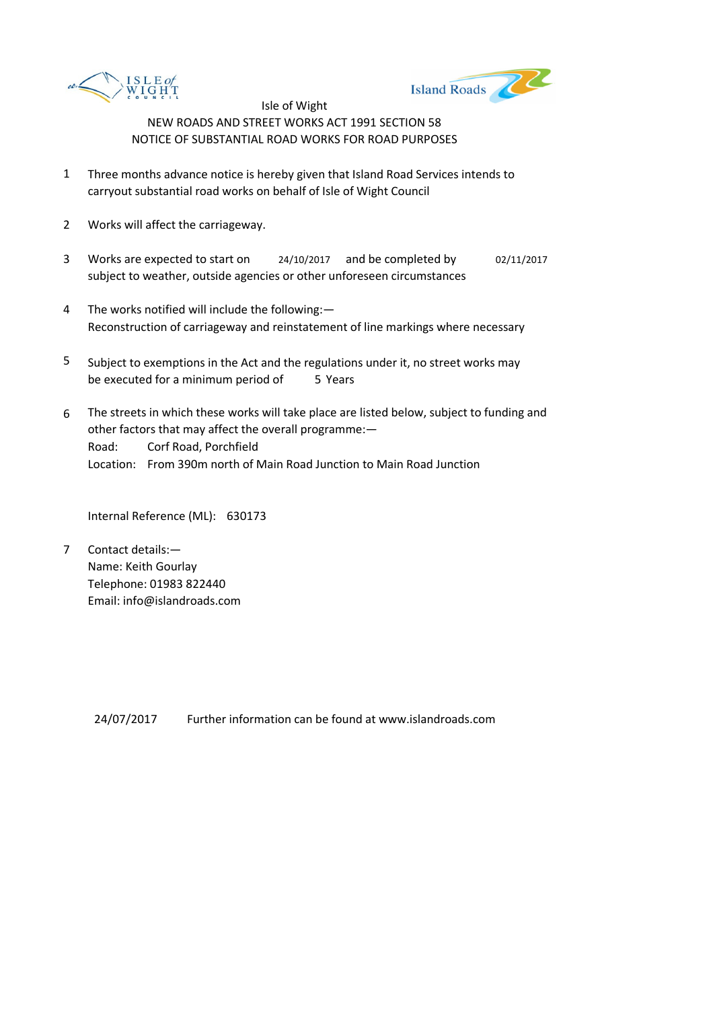



- 1 Three months advance notice is hereby given that Island Road Services intends to carryout substantial road works on behalf of Isle of Wight Council
- 2 Works will affect the carriageway.
- 3 Works are expected to start on <br>24/10/2017 and be completed by 02/11/2017 subject to weather, outside agencies or other unforeseen circumstances
- 4 The works notified will include the following:— Reconstruction of carriageway and reinstatement of line markings where necessary
- 5 be executed for a minimum period of 5 Years Subject to exemptions in the Act and the regulations under it, no street works may
- 6 Road: Corf Road, Porchfield Location: From 390m north of Main Road Junction to Main Road Junction The streets in which these works will take place are listed below, subject to funding and other factors that may affect the overall programme:—

Internal Reference (ML): 630173

7 Contact details:— Name: Keith Gourlay Telephone: 01983 822440 Email: info@islandroads.com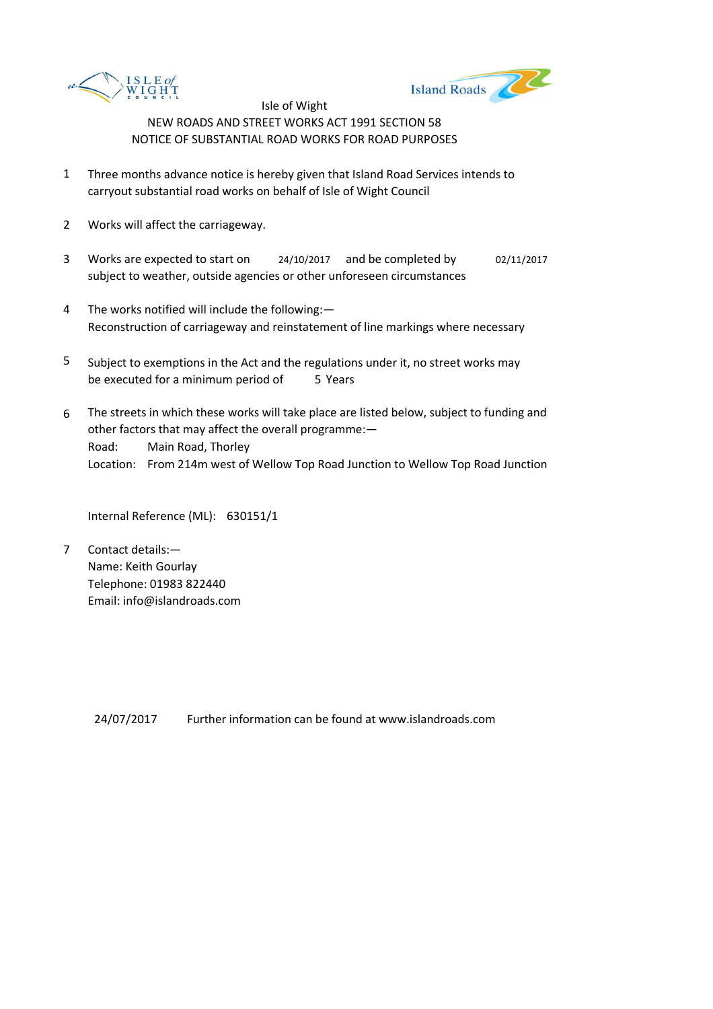



- 1 Three months advance notice is hereby given that Island Road Services intends to carryout substantial road works on behalf of Isle of Wight Council
- 2 Works will affect the carriageway.
- 3 Works are expected to start on <br>24/10/2017 and be completed by 02/11/2017 subject to weather, outside agencies or other unforeseen circumstances
- 4 The works notified will include the following:— Reconstruction of carriageway and reinstatement of line markings where necessary
- 5 be executed for a minimum period of 5 Years Subject to exemptions in the Act and the regulations under it, no street works may
- 6 Road: Main Road, Thorley Location: From 214m west of Wellow Top Road Junction to Wellow Top Road Junction The streets in which these works will take place are listed below, subject to funding and other factors that may affect the overall programme:—

Internal Reference (ML): 630151/1

7 Contact details:— Name: Keith Gourlay Telephone: 01983 822440 Email: info@islandroads.com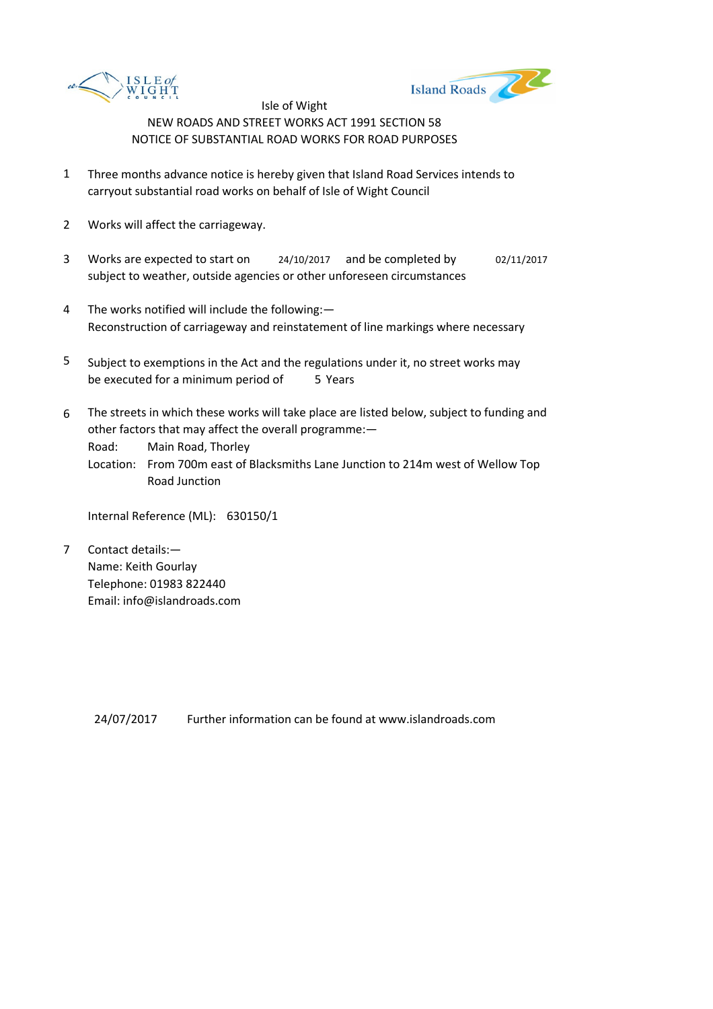



- 1 Three months advance notice is hereby given that Island Road Services intends to carryout substantial road works on behalf of Isle of Wight Council
- 2 Works will affect the carriageway.
- 3 Works are expected to start on <br>24/10/2017 and be completed by 02/11/2017 subject to weather, outside agencies or other unforeseen circumstances
- 4 The works notified will include the following:— Reconstruction of carriageway and reinstatement of line markings where necessary
- 5 be executed for a minimum period of 5 Years Subject to exemptions in the Act and the regulations under it, no street works may
- 6 The streets in which these works will take place are listed below, subject to funding and other factors that may affect the overall programme:—

Road: Main Road, Thorley

Location: From 700m east of Blacksmiths Lane Junction to 214m west of Wellow Top Road Junction

Internal Reference (ML): 630150/1

7 Contact details:— Name: Keith Gourlay Telephone: 01983 822440 Email: info@islandroads.com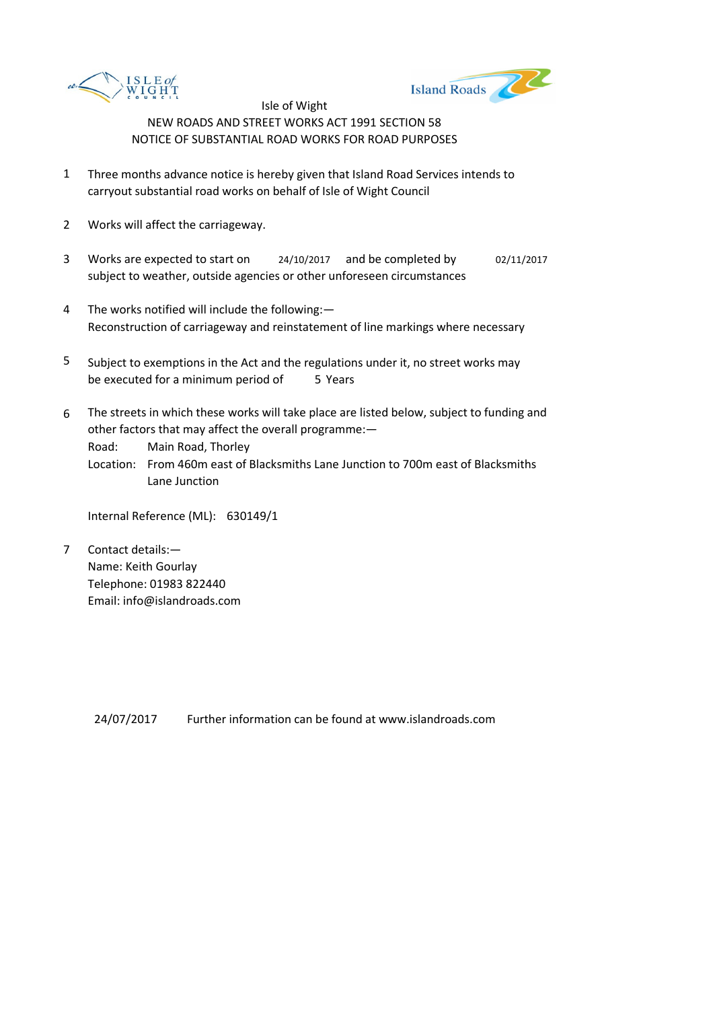



- 1 Three months advance notice is hereby given that Island Road Services intends to carryout substantial road works on behalf of Isle of Wight Council
- 2 Works will affect the carriageway.
- 3 Works are expected to start on <br>24/10/2017 and be completed by 02/11/2017 subject to weather, outside agencies or other unforeseen circumstances
- 4 The works notified will include the following:— Reconstruction of carriageway and reinstatement of line markings where necessary
- 5 be executed for a minimum period of 5 Years Subject to exemptions in the Act and the regulations under it, no street works may
- 6 The streets in which these works will take place are listed below, subject to funding and other factors that may affect the overall programme:—

Road: Main Road, Thorley

Location: From 460m east of Blacksmiths Lane Junction to 700m east of Blacksmiths Lane Junction

Internal Reference (ML): 630149/1

7 Contact details:— Name: Keith Gourlay Telephone: 01983 822440 Email: info@islandroads.com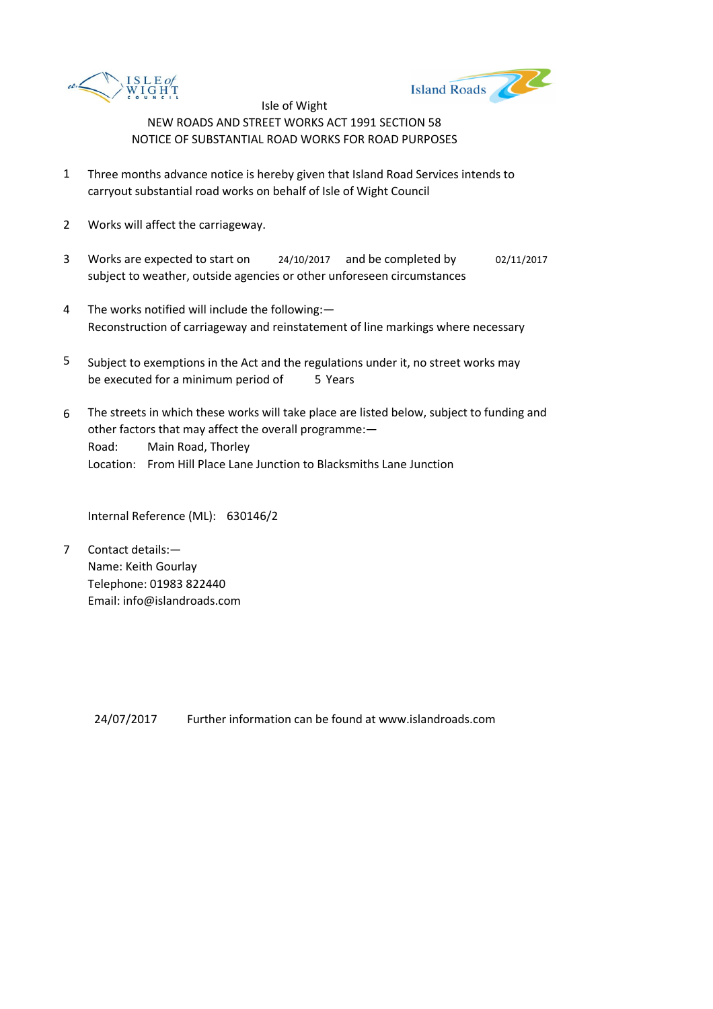



- 1 Three months advance notice is hereby given that Island Road Services intends to carryout substantial road works on behalf of Isle of Wight Council
- 2 Works will affect the carriageway.
- 3 Works are expected to start on <br>24/10/2017 and be completed by 02/11/2017 subject to weather, outside agencies or other unforeseen circumstances
- 4 The works notified will include the following:— Reconstruction of carriageway and reinstatement of line markings where necessary
- 5 be executed for a minimum period of 5 Years Subject to exemptions in the Act and the regulations under it, no street works may
- 6 Road: Main Road, Thorley Location: From Hill Place Lane Junction to Blacksmiths Lane Junction The streets in which these works will take place are listed below, subject to funding and other factors that may affect the overall programme:—

Internal Reference (ML): 630146/2

7 Contact details:— Name: Keith Gourlay Telephone: 01983 822440 Email: info@islandroads.com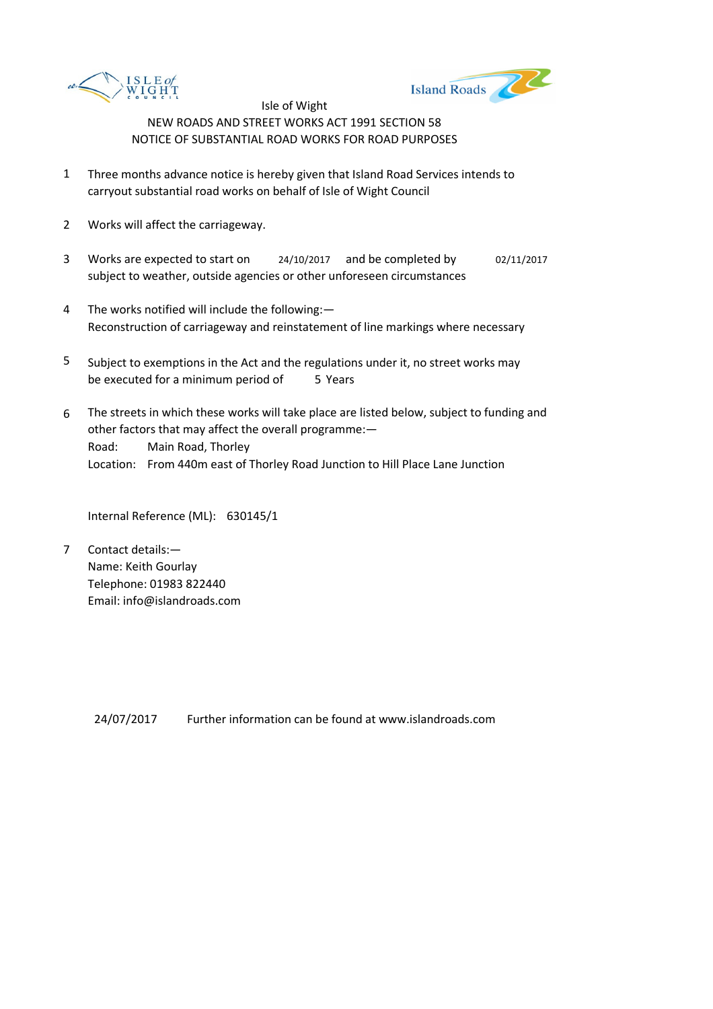



- 1 Three months advance notice is hereby given that Island Road Services intends to carryout substantial road works on behalf of Isle of Wight Council
- 2 Works will affect the carriageway.
- 3 Works are expected to start on <br>24/10/2017 and be completed by 02/11/2017 subject to weather, outside agencies or other unforeseen circumstances
- 4 The works notified will include the following:— Reconstruction of carriageway and reinstatement of line markings where necessary
- 5 be executed for a minimum period of 5 Years Subject to exemptions in the Act and the regulations under it, no street works may
- 6 Road: Main Road, Thorley Location: From 440m east of Thorley Road Junction to Hill Place Lane Junction The streets in which these works will take place are listed below, subject to funding and other factors that may affect the overall programme:—

Internal Reference (ML): 630145/1

7 Contact details:— Name: Keith Gourlay Telephone: 01983 822440 Email: info@islandroads.com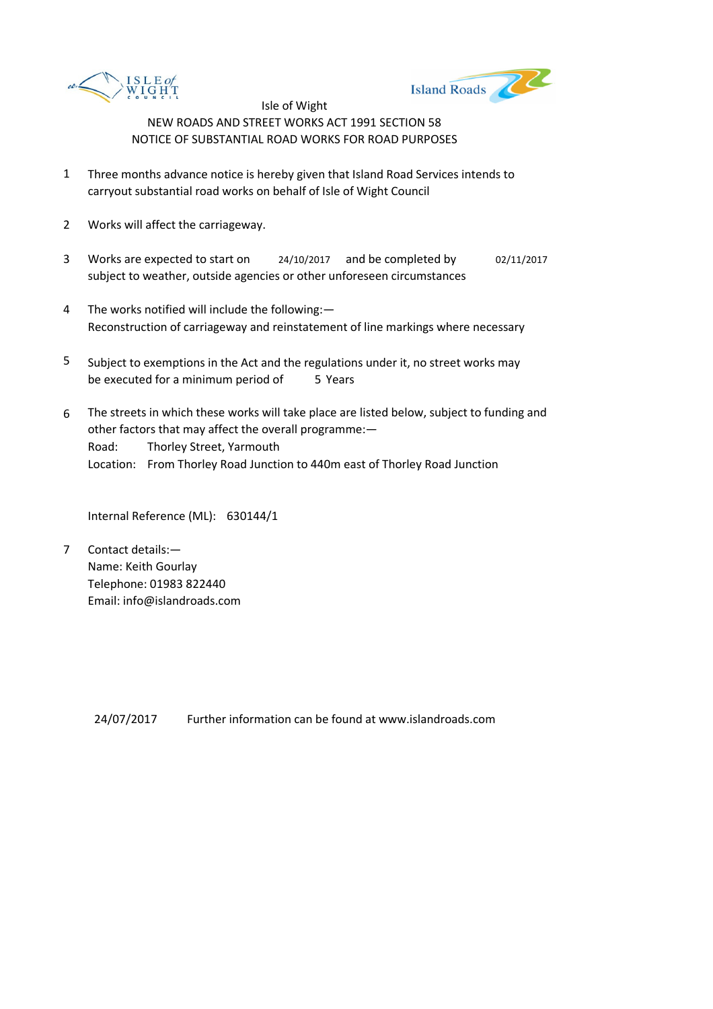



- 1 Three months advance notice is hereby given that Island Road Services intends to carryout substantial road works on behalf of Isle of Wight Council
- 2 Works will affect the carriageway.
- 3 Works are expected to start on <br>24/10/2017 and be completed by 02/11/2017 subject to weather, outside agencies or other unforeseen circumstances
- 4 The works notified will include the following:— Reconstruction of carriageway and reinstatement of line markings where necessary
- 5 be executed for a minimum period of 5 Years Subject to exemptions in the Act and the regulations under it, no street works may
- 6 Road: Thorley Street, Yarmouth Location: From Thorley Road Junction to 440m east of Thorley Road Junction The streets in which these works will take place are listed below, subject to funding and other factors that may affect the overall programme:—

Internal Reference (ML): 630144/1

7 Contact details:— Name: Keith Gourlay Telephone: 01983 822440 Email: info@islandroads.com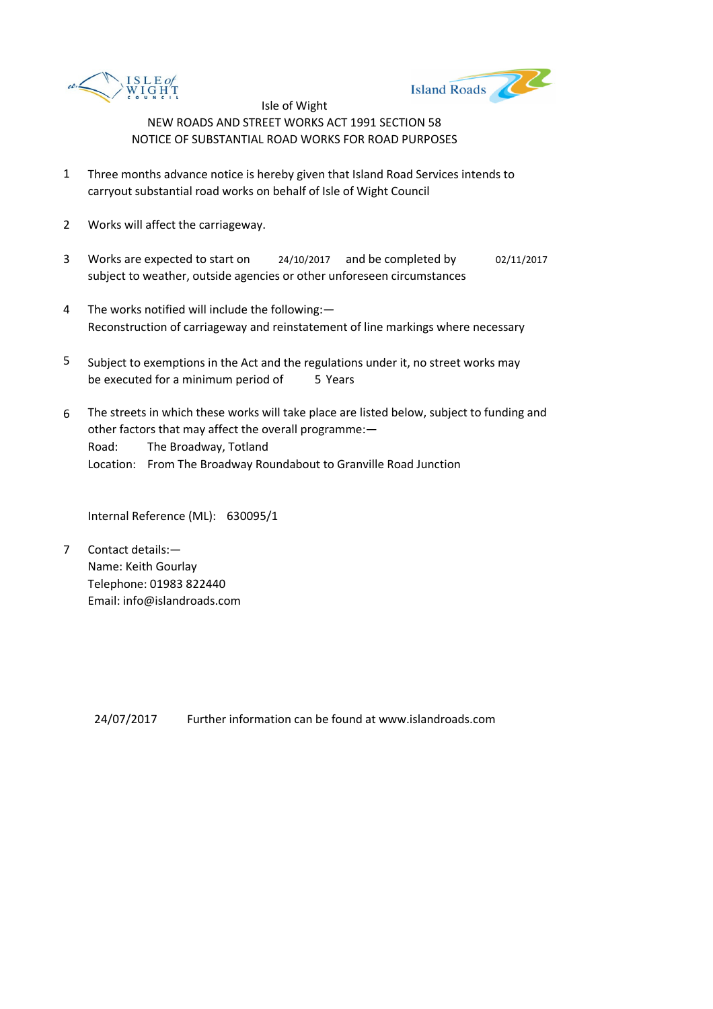



- 1 Three months advance notice is hereby given that Island Road Services intends to carryout substantial road works on behalf of Isle of Wight Council
- 2 Works will affect the carriageway.
- 3 Works are expected to start on <br>24/10/2017 and be completed by 02/11/2017 subject to weather, outside agencies or other unforeseen circumstances
- 4 The works notified will include the following:— Reconstruction of carriageway and reinstatement of line markings where necessary
- 5 be executed for a minimum period of 5 Years Subject to exemptions in the Act and the regulations under it, no street works may
- 6 Road: The Broadway, Totland Location: From The Broadway Roundabout to Granville Road Junction The streets in which these works will take place are listed below, subject to funding and other factors that may affect the overall programme:—

Internal Reference (ML): 630095/1

7 Contact details:— Name: Keith Gourlay Telephone: 01983 822440 Email: info@islandroads.com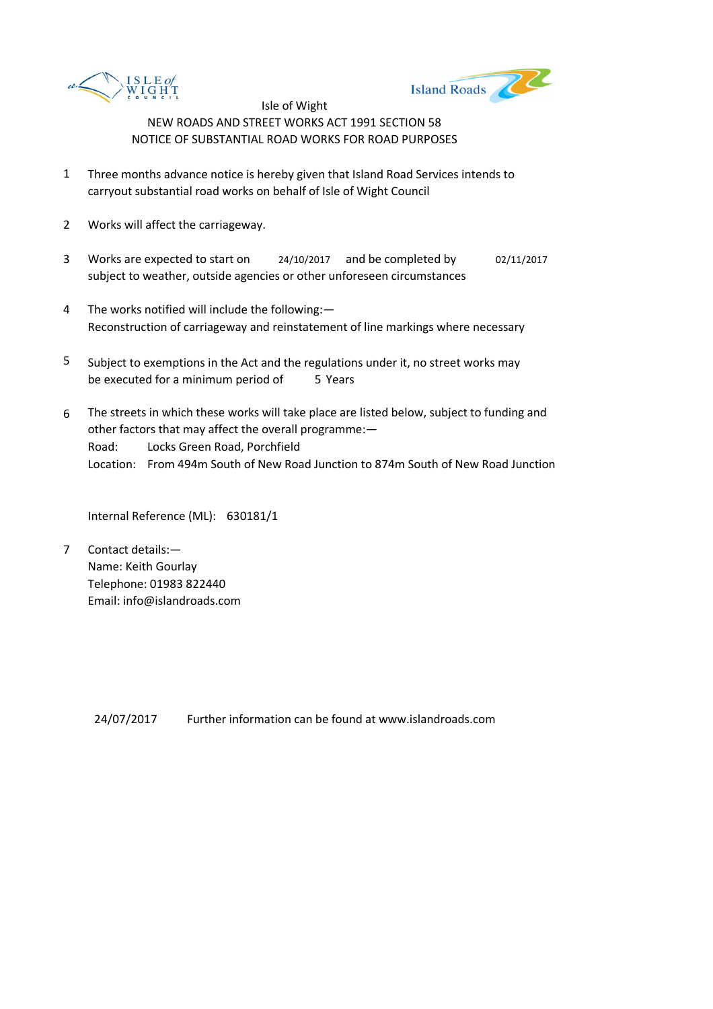



- 1 Three months advance notice is hereby given that Island Road Services intends to carryout substantial road works on behalf of Isle of Wight Council
- 2 Works will affect the carriageway.
- 3 Works are expected to start on <br>24/10/2017 and be completed by 02/11/2017 subject to weather, outside agencies or other unforeseen circumstances
- 4 The works notified will include the following:— Reconstruction of carriageway and reinstatement of line markings where necessary
- 5 be executed for a minimum period of 5 Years Subject to exemptions in the Act and the regulations under it, no street works may
- 6 Road: Locks Green Road, Porchfield Location: From 494m South of New Road Junction to 874m South of New Road Junction The streets in which these works will take place are listed below, subject to funding and other factors that may affect the overall programme:—

Internal Reference (ML): 630181/1

7 Contact details:— Name: Keith Gourlay Telephone: 01983 822440 Email: info@islandroads.com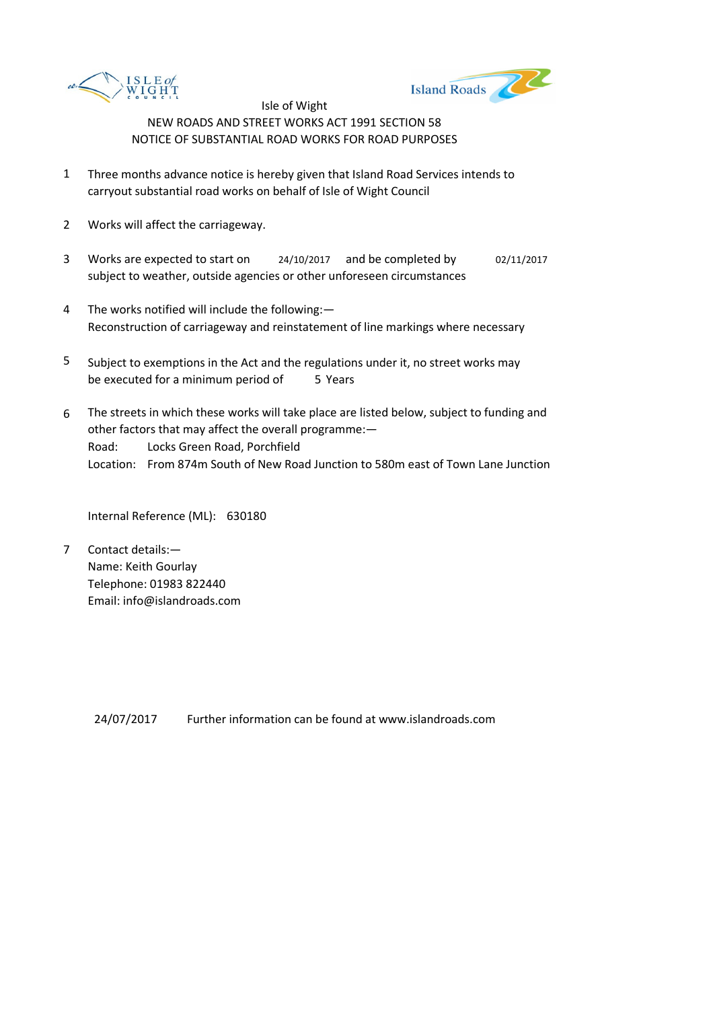



- 1 Three months advance notice is hereby given that Island Road Services intends to carryout substantial road works on behalf of Isle of Wight Council
- 2 Works will affect the carriageway.
- 3 Works are expected to start on <br>24/10/2017 and be completed by 02/11/2017 subject to weather, outside agencies or other unforeseen circumstances
- 4 The works notified will include the following:— Reconstruction of carriageway and reinstatement of line markings where necessary
- 5 be executed for a minimum period of 5 Years Subject to exemptions in the Act and the regulations under it, no street works may
- 6 Road: Locks Green Road, Porchfield Location: From 874m South of New Road Junction to 580m east of Town Lane Junction The streets in which these works will take place are listed below, subject to funding and other factors that may affect the overall programme:—

Internal Reference (ML): 630180

7 Contact details:— Name: Keith Gourlay Telephone: 01983 822440 Email: info@islandroads.com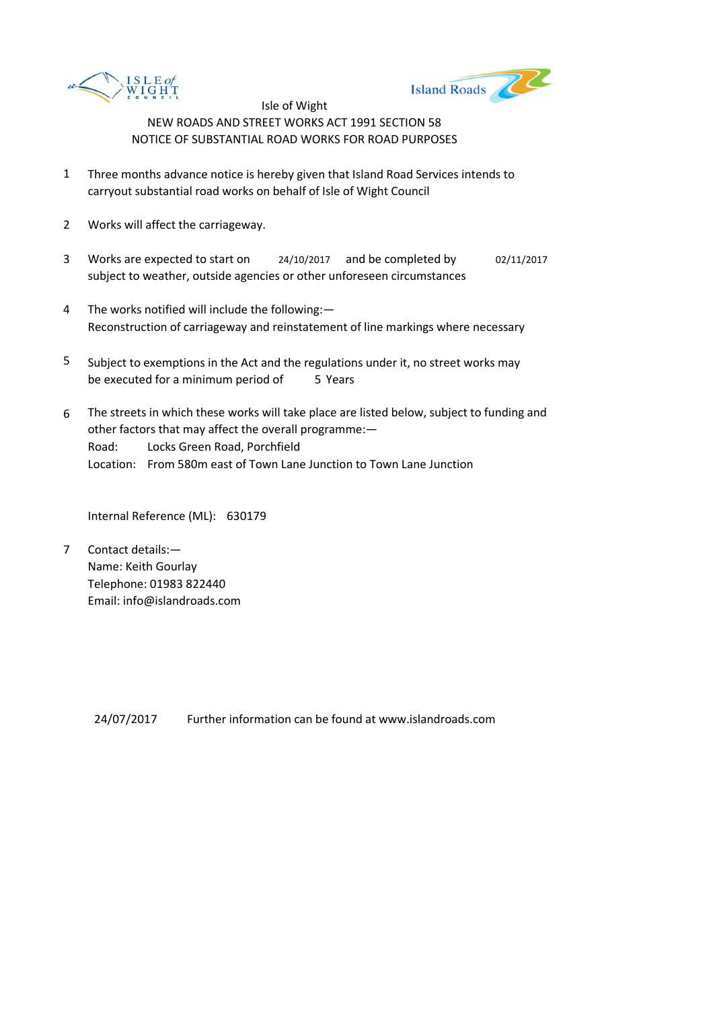



- 1 Three months advance notice is hereby given that Island Road Services intends to carryout substantial road works on behalf of Isle of Wight Council
- 2 Works will affect the carriageway.
- 3 Works are expected to start on <br>24/10/2017 and be completed by 02/11/2017 subject to weather, outside agencies or other unforeseen circumstances
- 4 The works notified will include the following:— Reconstruction of carriageway and reinstatement of line markings where necessary
- 5 be executed for a minimum period of 5 Years Subject to exemptions in the Act and the regulations under it, no street works may
- 6 Road: Locks Green Road, Porchfield Location: From 580m east of Town Lane Junction to Town Lane Junction The streets in which these works will take place are listed below, subject to funding and other factors that may affect the overall programme:—

Internal Reference (ML): 630179

7 Contact details:— Name: Keith Gourlay Telephone: 01983 822440 Email: info@islandroads.com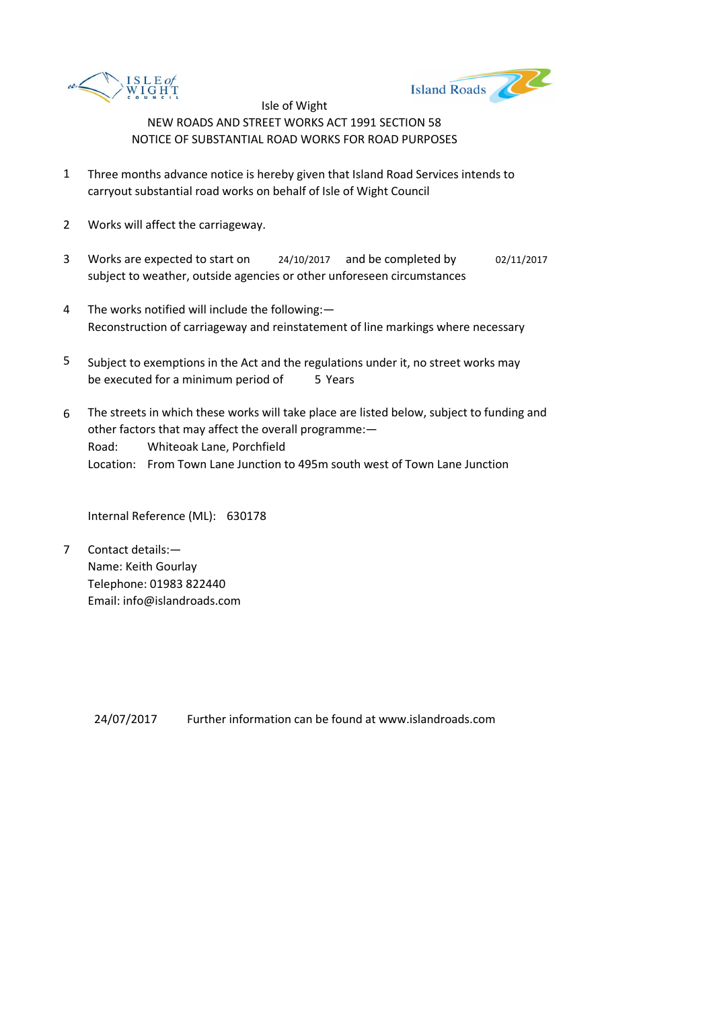



- 1 Three months advance notice is hereby given that Island Road Services intends to carryout substantial road works on behalf of Isle of Wight Council
- 2 Works will affect the carriageway.
- 3 Works are expected to start on <br>24/10/2017 and be completed by 02/11/2017 subject to weather, outside agencies or other unforeseen circumstances
- 4 The works notified will include the following:— Reconstruction of carriageway and reinstatement of line markings where necessary
- 5 be executed for a minimum period of 5 Years Subject to exemptions in the Act and the regulations under it, no street works may
- 6 Road: Whiteoak Lane, Porchfield Location: From Town Lane Junction to 495m south west of Town Lane Junction The streets in which these works will take place are listed below, subject to funding and other factors that may affect the overall programme:—

Internal Reference (ML): 630178

7 Contact details:— Name: Keith Gourlay Telephone: 01983 822440 Email: info@islandroads.com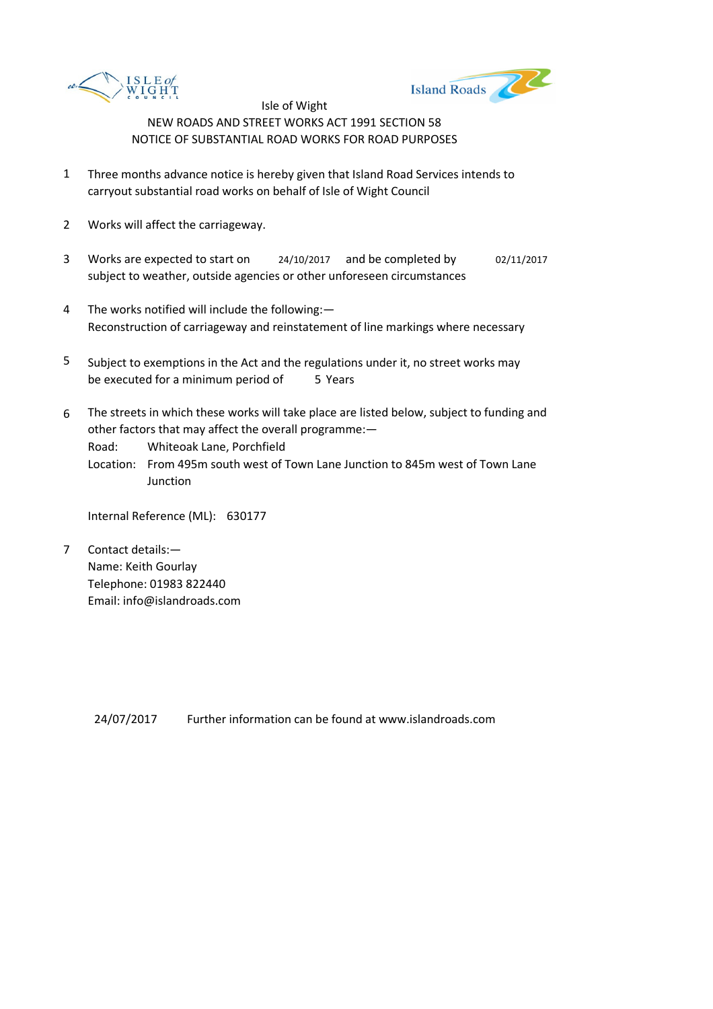



- 1 Three months advance notice is hereby given that Island Road Services intends to carryout substantial road works on behalf of Isle of Wight Council
- 2 Works will affect the carriageway.
- 3 Works are expected to start on <br>24/10/2017 and be completed by 02/11/2017 subject to weather, outside agencies or other unforeseen circumstances
- 4 The works notified will include the following:— Reconstruction of carriageway and reinstatement of line markings where necessary
- 5 be executed for a minimum period of 5 Years Subject to exemptions in the Act and the regulations under it, no street works may
- 6 The streets in which these works will take place are listed below, subject to funding and other factors that may affect the overall programme:—

Road: Whiteoak Lane, Porchfield

Location: From 495m south west of Town Lane Junction to 845m west of Town Lane **Junction** 

Internal Reference (ML): 630177

7 Contact details:— Name: Keith Gourlay Telephone: 01983 822440 Email: info@islandroads.com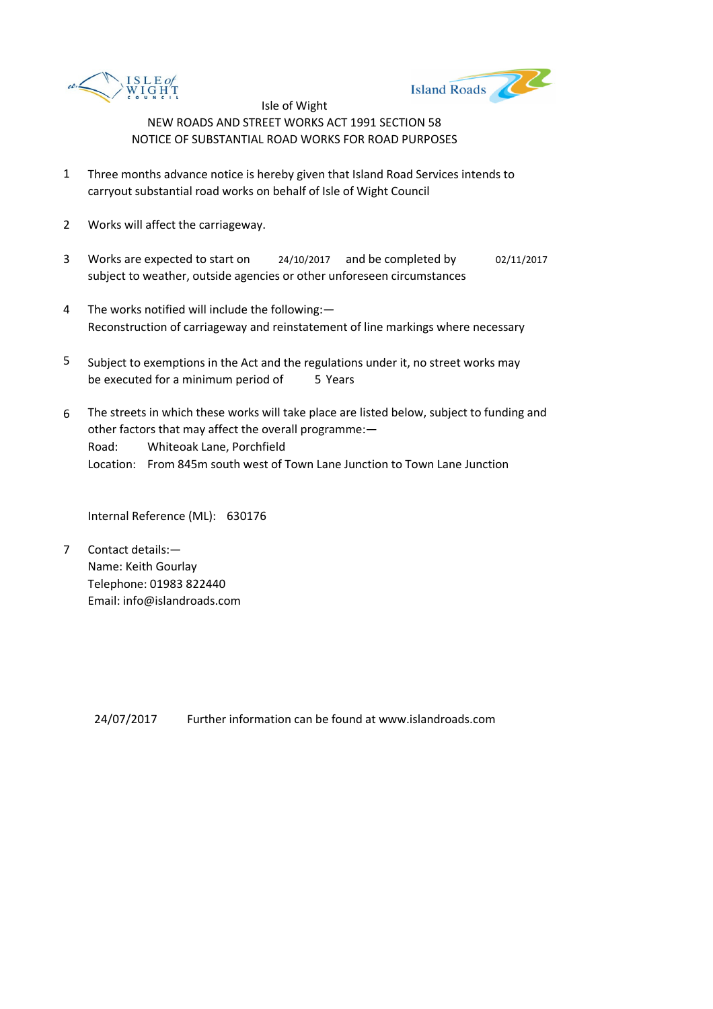



- 1 Three months advance notice is hereby given that Island Road Services intends to carryout substantial road works on behalf of Isle of Wight Council
- 2 Works will affect the carriageway.
- 3 Works are expected to start on <br>24/10/2017 and be completed by 02/11/2017 subject to weather, outside agencies or other unforeseen circumstances
- 4 The works notified will include the following:— Reconstruction of carriageway and reinstatement of line markings where necessary
- 5 be executed for a minimum period of 5 Years Subject to exemptions in the Act and the regulations under it, no street works may
- 6 Road: Whiteoak Lane, Porchfield Location: From 845m south west of Town Lane Junction to Town Lane Junction The streets in which these works will take place are listed below, subject to funding and other factors that may affect the overall programme:—

Internal Reference (ML): 630176

7 Contact details:— Name: Keith Gourlay Telephone: 01983 822440 Email: info@islandroads.com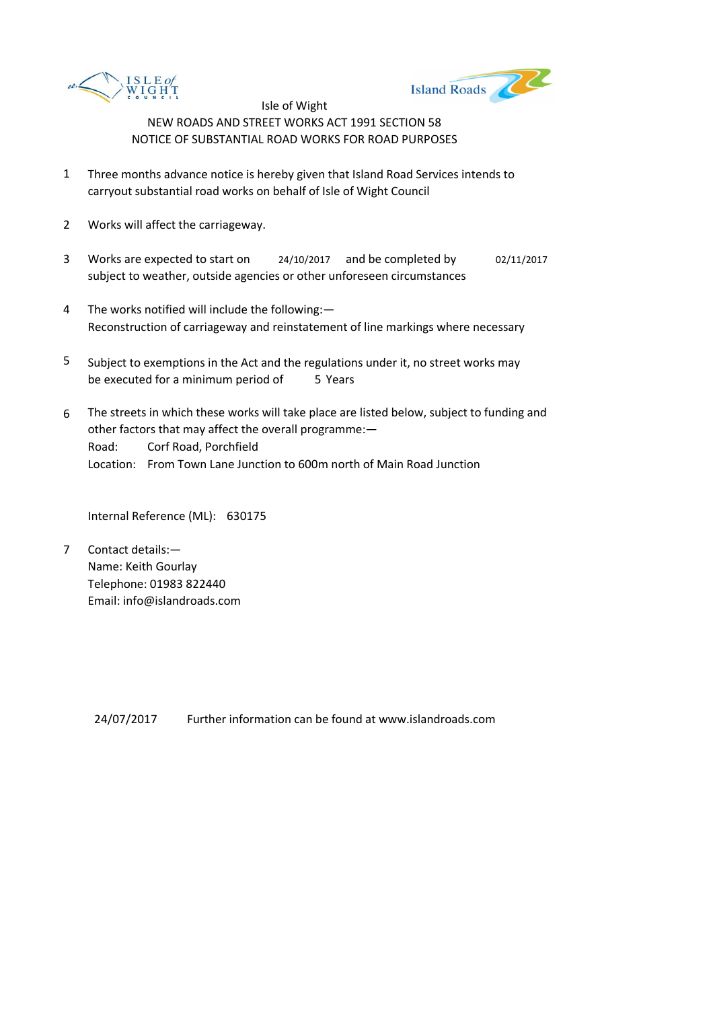



- 1 Three months advance notice is hereby given that Island Road Services intends to carryout substantial road works on behalf of Isle of Wight Council
- 2 Works will affect the carriageway.
- 3 Works are expected to start on <br>24/10/2017 and be completed by 02/11/2017 subject to weather, outside agencies or other unforeseen circumstances
- 4 The works notified will include the following:— Reconstruction of carriageway and reinstatement of line markings where necessary
- 5 be executed for a minimum period of 5 Years Subject to exemptions in the Act and the regulations under it, no street works may
- 6 Road: Corf Road, Porchfield Location: From Town Lane Junction to 600m north of Main Road Junction The streets in which these works will take place are listed below, subject to funding and other factors that may affect the overall programme:—

Internal Reference (ML): 630175

7 Contact details:— Name: Keith Gourlay Telephone: 01983 822440 Email: info@islandroads.com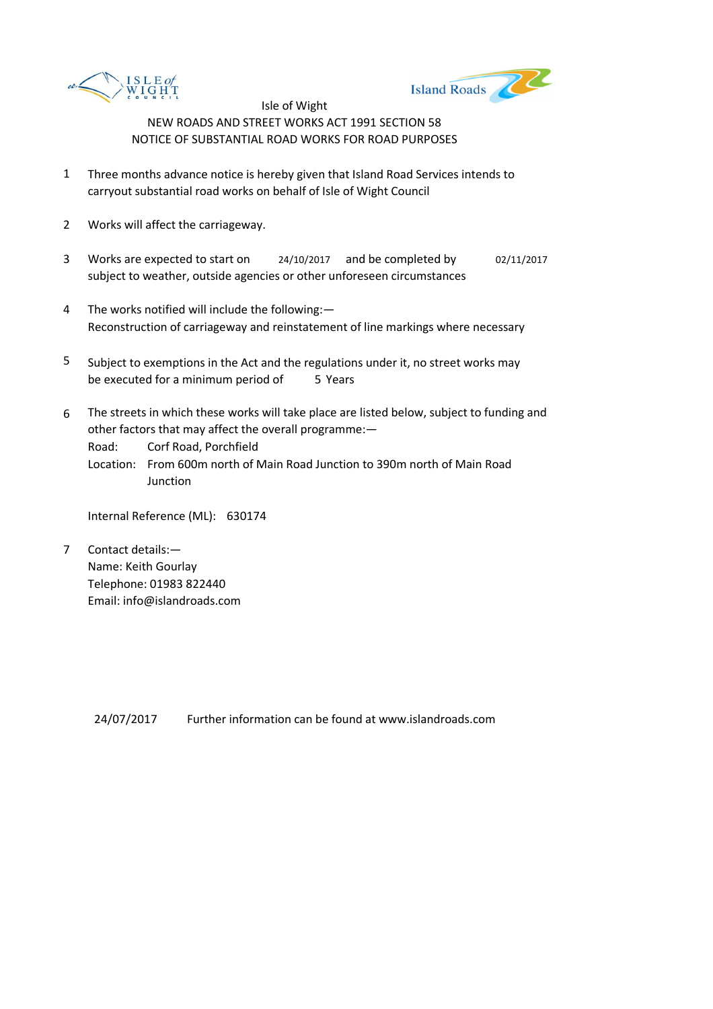



- 1 Three months advance notice is hereby given that Island Road Services intends to carryout substantial road works on behalf of Isle of Wight Council
- 2 Works will affect the carriageway.
- 3 Works are expected to start on <br>24/10/2017 and be completed by 02/11/2017 subject to weather, outside agencies or other unforeseen circumstances
- 4 The works notified will include the following:— Reconstruction of carriageway and reinstatement of line markings where necessary
- 5 be executed for a minimum period of 5 Years Subject to exemptions in the Act and the regulations under it, no street works may
- 6 The streets in which these works will take place are listed below, subject to funding and other factors that may affect the overall programme:—

Road: Corf Road, Porchfield

Location: From 600m north of Main Road Junction to 390m north of Main Road **Junction** 

Internal Reference (ML): 630174

7 Contact details:— Name: Keith Gourlay Telephone: 01983 822440 Email: info@islandroads.com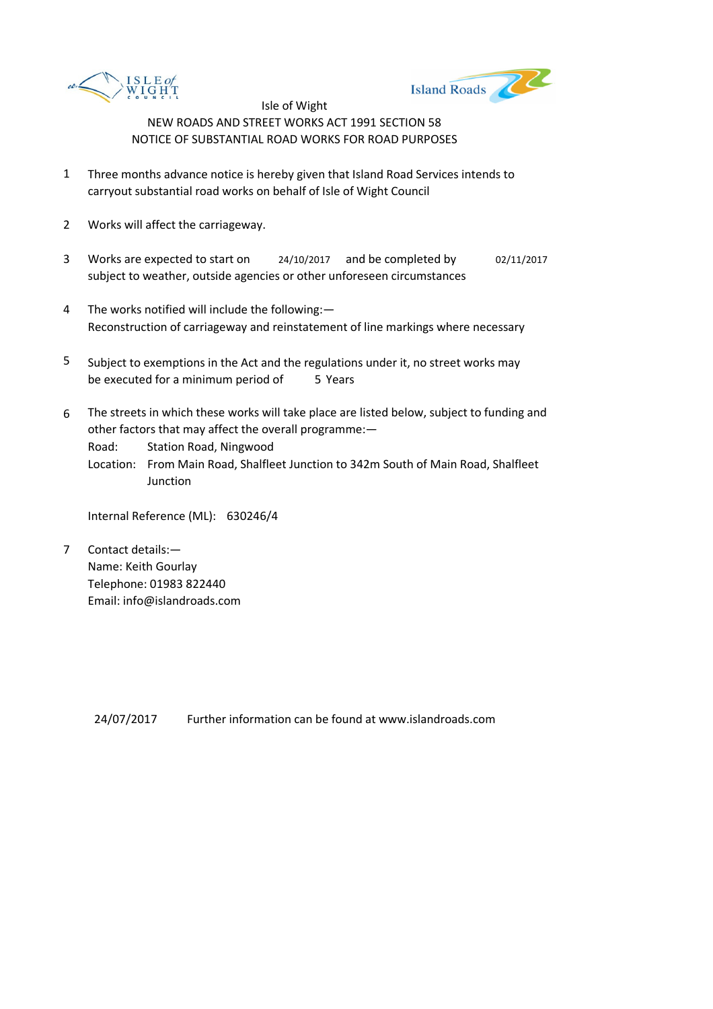



- 1 Three months advance notice is hereby given that Island Road Services intends to carryout substantial road works on behalf of Isle of Wight Council
- 2 Works will affect the carriageway.
- 3 Works are expected to start on <br>24/10/2017 and be completed by 02/11/2017 subject to weather, outside agencies or other unforeseen circumstances
- 4 The works notified will include the following:— Reconstruction of carriageway and reinstatement of line markings where necessary
- 5 be executed for a minimum period of 5 Years Subject to exemptions in the Act and the regulations under it, no street works may
- 6 The streets in which these works will take place are listed below, subject to funding and other factors that may affect the overall programme:—

Road: Station Road, Ningwood

Location: From Main Road, Shalfleet Junction to 342m South of Main Road, Shalfleet Junction

Internal Reference (ML): 630246/4

7 Contact details:— Name: Keith Gourlay Telephone: 01983 822440 Email: info@islandroads.com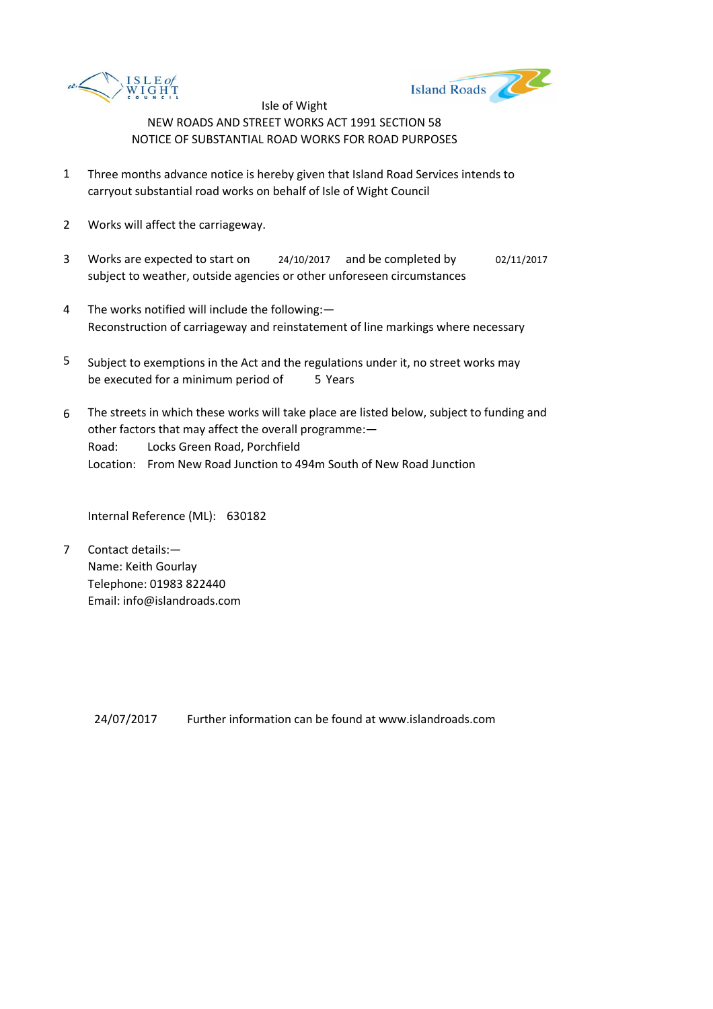



- 1 Three months advance notice is hereby given that Island Road Services intends to carryout substantial road works on behalf of Isle of Wight Council
- 2 Works will affect the carriageway.
- 3 Works are expected to start on <br>24/10/2017 and be completed by 02/11/2017 subject to weather, outside agencies or other unforeseen circumstances
- 4 The works notified will include the following:— Reconstruction of carriageway and reinstatement of line markings where necessary
- 5 be executed for a minimum period of 5 Years Subject to exemptions in the Act and the regulations under it, no street works may
- 6 Road: Locks Green Road, Porchfield Location: From New Road Junction to 494m South of New Road Junction The streets in which these works will take place are listed below, subject to funding and other factors that may affect the overall programme:—

Internal Reference (ML): 630182

7 Contact details:— Name: Keith Gourlay Telephone: 01983 822440 Email: info@islandroads.com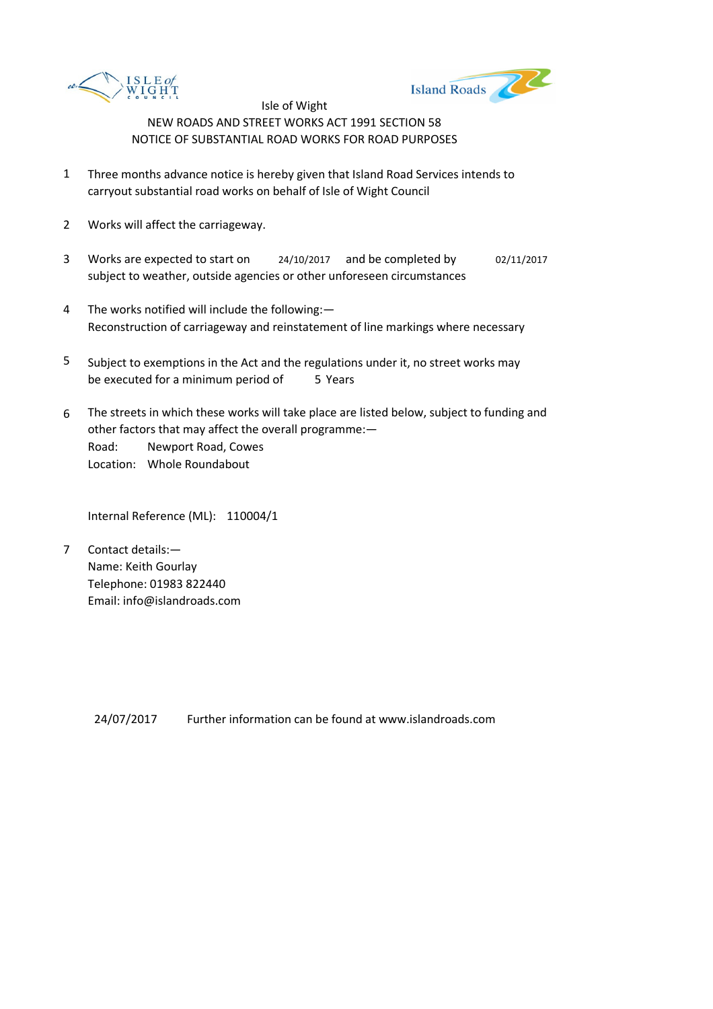



- 1 Three months advance notice is hereby given that Island Road Services intends to carryout substantial road works on behalf of Isle of Wight Council
- 2 Works will affect the carriageway.
- 3 Works are expected to start on <br>24/10/2017 and be completed by 02/11/2017 subject to weather, outside agencies or other unforeseen circumstances
- 4 The works notified will include the following:— Reconstruction of carriageway and reinstatement of line markings where necessary
- 5 be executed for a minimum period of 5 Years Subject to exemptions in the Act and the regulations under it, no street works may
- 6 Road: Newport Road, Cowes Location: Whole Roundabout The streets in which these works will take place are listed below, subject to funding and other factors that may affect the overall programme:—

Internal Reference (ML): 110004/1

7 Contact details:— Name: Keith Gourlay Telephone: 01983 822440 Email: info@islandroads.com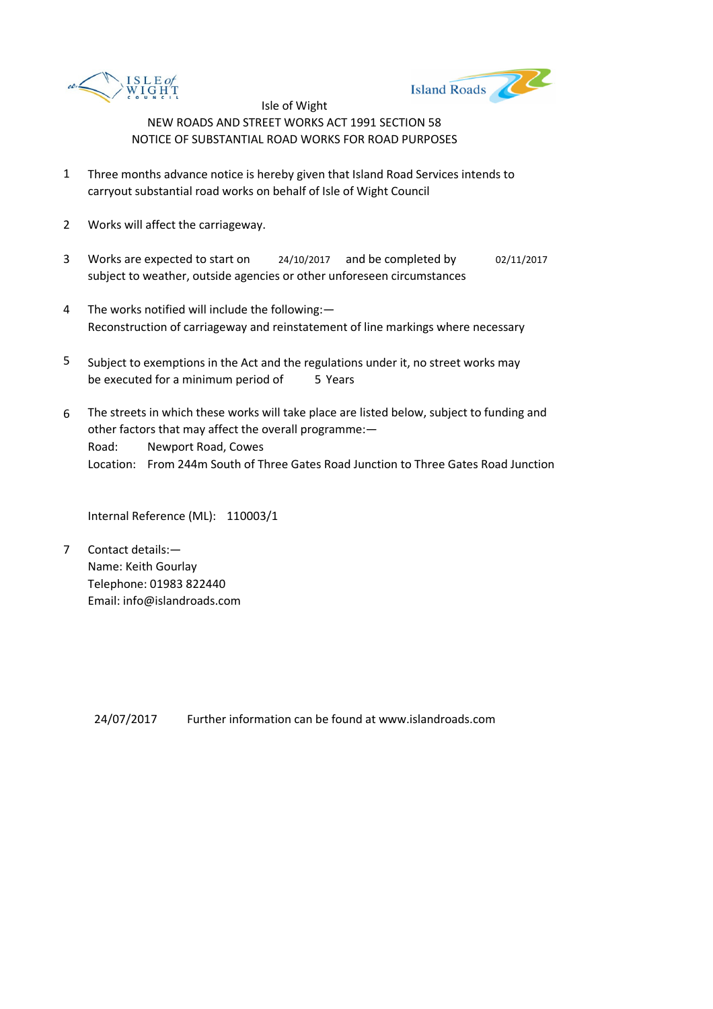



- 1 Three months advance notice is hereby given that Island Road Services intends to carryout substantial road works on behalf of Isle of Wight Council
- 2 Works will affect the carriageway.
- 3 Works are expected to start on <br>24/10/2017 and be completed by 02/11/2017 subject to weather, outside agencies or other unforeseen circumstances
- 4 The works notified will include the following:— Reconstruction of carriageway and reinstatement of line markings where necessary
- 5 be executed for a minimum period of 5 Years Subject to exemptions in the Act and the regulations under it, no street works may
- 6 Road: Newport Road, Cowes Location: From 244m South of Three Gates Road Junction to Three Gates Road Junction The streets in which these works will take place are listed below, subject to funding and other factors that may affect the overall programme:—

Internal Reference (ML): 110003/1

7 Contact details:— Name: Keith Gourlay Telephone: 01983 822440 Email: info@islandroads.com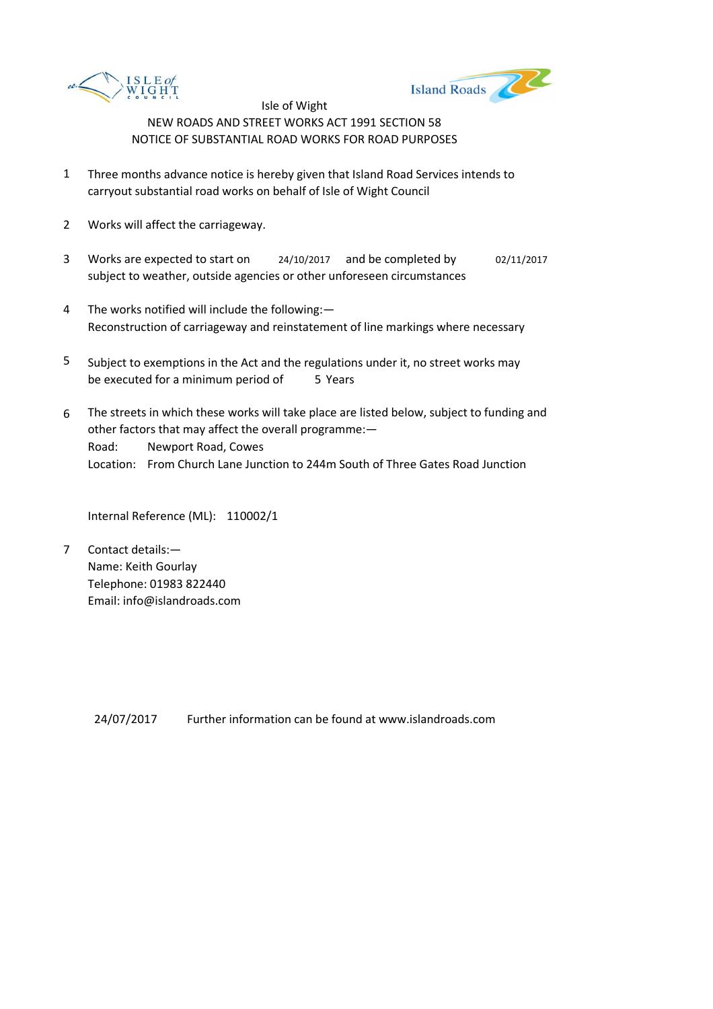



- 1 Three months advance notice is hereby given that Island Road Services intends to carryout substantial road works on behalf of Isle of Wight Council
- 2 Works will affect the carriageway.
- 3 Works are expected to start on <br>24/10/2017 and be completed by 02/11/2017 subject to weather, outside agencies or other unforeseen circumstances
- 4 The works notified will include the following:— Reconstruction of carriageway and reinstatement of line markings where necessary
- 5 be executed for a minimum period of 5 Years Subject to exemptions in the Act and the regulations under it, no street works may
- 6 Road: Newport Road, Cowes Location: From Church Lane Junction to 244m South of Three Gates Road Junction The streets in which these works will take place are listed below, subject to funding and other factors that may affect the overall programme:—

Internal Reference (ML): 110002/1

7 Contact details:— Name: Keith Gourlay Telephone: 01983 822440 Email: info@islandroads.com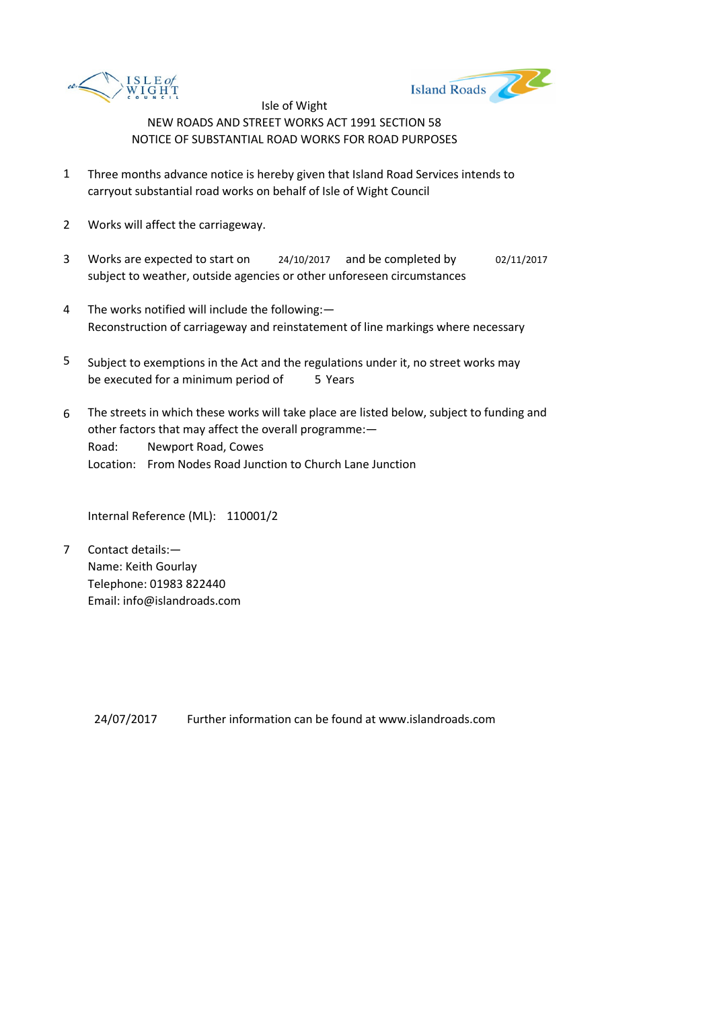



- 1 Three months advance notice is hereby given that Island Road Services intends to carryout substantial road works on behalf of Isle of Wight Council
- 2 Works will affect the carriageway.
- 3 Works are expected to start on <br>24/10/2017 and be completed by 02/11/2017 subject to weather, outside agencies or other unforeseen circumstances
- 4 The works notified will include the following:— Reconstruction of carriageway and reinstatement of line markings where necessary
- 5 be executed for a minimum period of 5 Years Subject to exemptions in the Act and the regulations under it, no street works may
- 6 Road: Newport Road, Cowes Location: From Nodes Road Junction to Church Lane Junction The streets in which these works will take place are listed below, subject to funding and other factors that may affect the overall programme:—

Internal Reference (ML): 110001/2

7 Contact details:— Name: Keith Gourlay Telephone: 01983 822440 Email: info@islandroads.com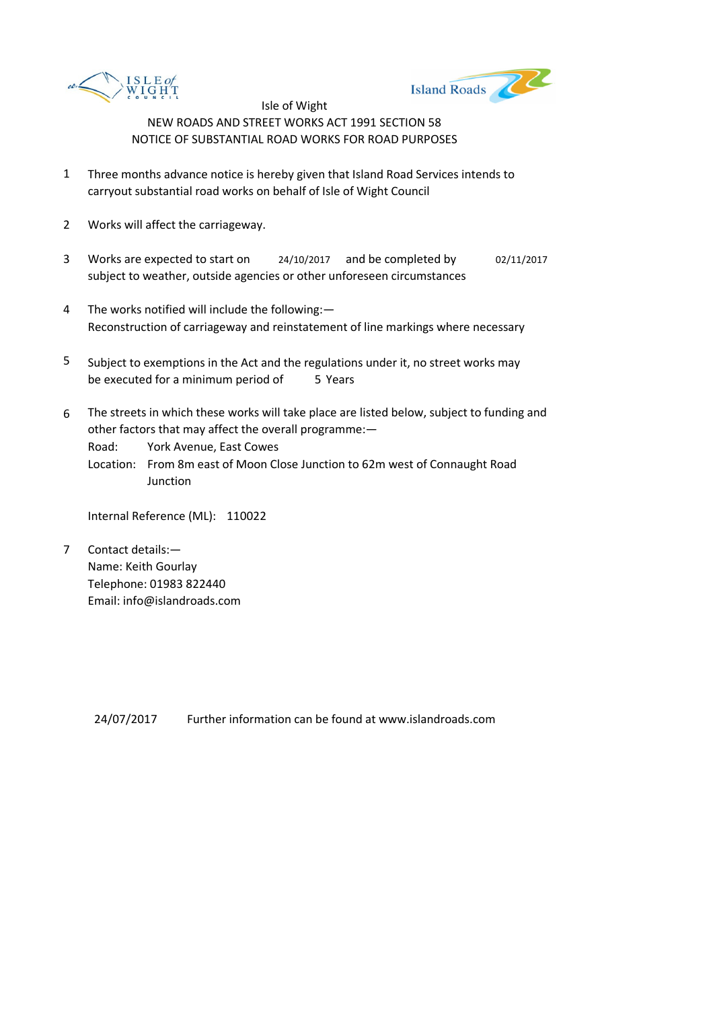



- 1 Three months advance notice is hereby given that Island Road Services intends to carryout substantial road works on behalf of Isle of Wight Council
- 2 Works will affect the carriageway.
- 3 Works are expected to start on <br>24/10/2017 and be completed by 02/11/2017 subject to weather, outside agencies or other unforeseen circumstances
- 4 The works notified will include the following:— Reconstruction of carriageway and reinstatement of line markings where necessary
- 5 be executed for a minimum period of 5 Years Subject to exemptions in the Act and the regulations under it, no street works may
- 6 The streets in which these works will take place are listed below, subject to funding and other factors that may affect the overall programme:—

Road: York Avenue, East Cowes

Location: From 8m east of Moon Close Junction to 62m west of Connaught Road **Junction** 

Internal Reference (ML): 110022

7 Contact details:— Name: Keith Gourlay Telephone: 01983 822440 Email: info@islandroads.com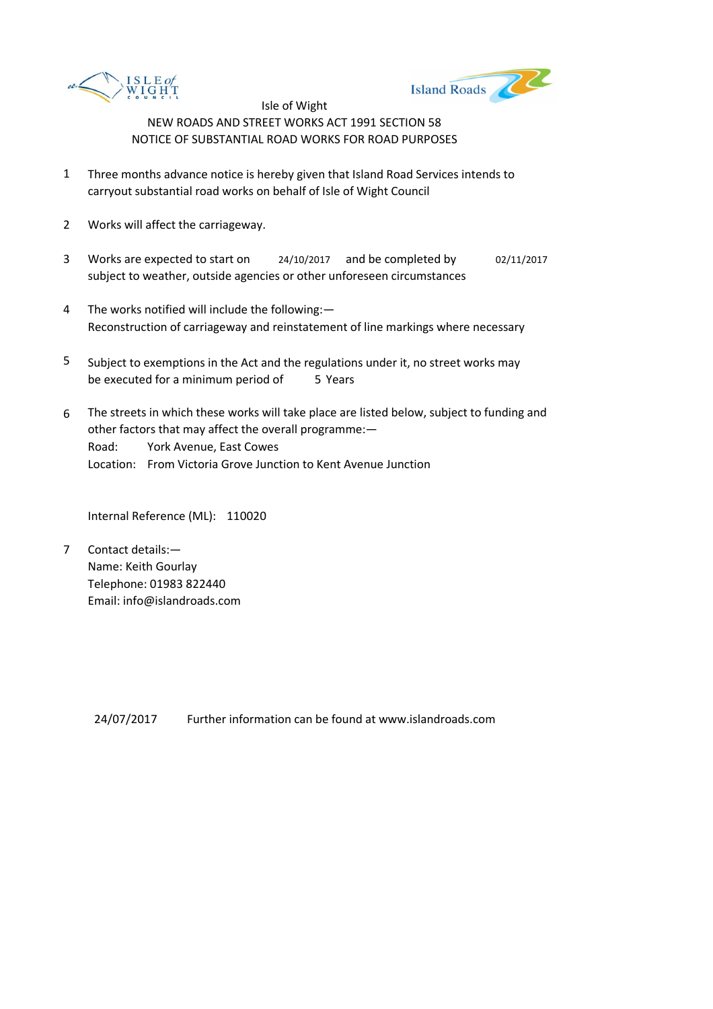



- 1 Three months advance notice is hereby given that Island Road Services intends to carryout substantial road works on behalf of Isle of Wight Council
- 2 Works will affect the carriageway.
- 3 Works are expected to start on <br>24/10/2017 and be completed by 02/11/2017 subject to weather, outside agencies or other unforeseen circumstances
- 4 The works notified will include the following:— Reconstruction of carriageway and reinstatement of line markings where necessary
- 5 be executed for a minimum period of 5 Years Subject to exemptions in the Act and the regulations under it, no street works may
- 6 Road: York Avenue, East Cowes Location: From Victoria Grove Junction to Kent Avenue Junction The streets in which these works will take place are listed below, subject to funding and other factors that may affect the overall programme:—

Internal Reference (ML): 110020

7 Contact details:— Name: Keith Gourlay Telephone: 01983 822440 Email: info@islandroads.com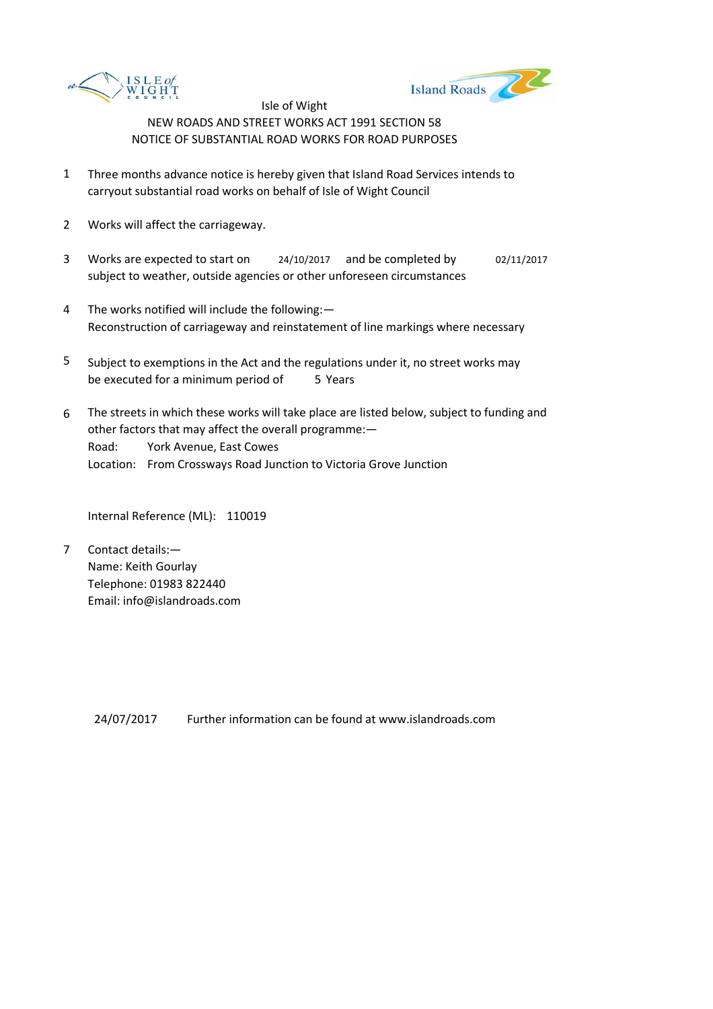



- 1 Three months advance notice is hereby given that Island Road Services intends to carryout substantial road works on behalf of Isle of Wight Council
- 2 Works will affect the carriageway.
- 3 Works are expected to start on <br>24/10/2017 and be completed by 02/11/2017 subject to weather, outside agencies or other unforeseen circumstances
- 4 The works notified will include the following:— Reconstruction of carriageway and reinstatement of line markings where necessary
- 5 be executed for a minimum period of 5 Years Subject to exemptions in the Act and the regulations under it, no street works may
- 6 Road: York Avenue, East Cowes Location: From Crossways Road Junction to Victoria Grove Junction The streets in which these works will take place are listed below, subject to funding and other factors that may affect the overall programme:—

Internal Reference (ML): 110019

7 Contact details:— Name: Keith Gourlay Telephone: 01983 822440 Email: info@islandroads.com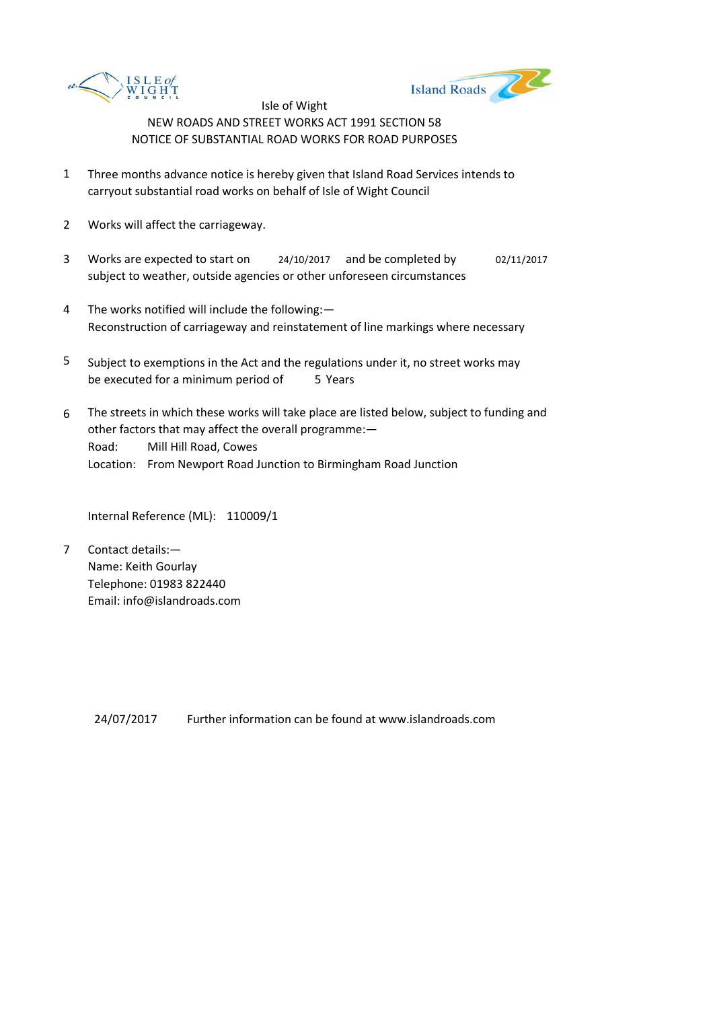



- 1 Three months advance notice is hereby given that Island Road Services intends to carryout substantial road works on behalf of Isle of Wight Council
- 2 Works will affect the carriageway.
- 3 Works are expected to start on <br>24/10/2017 and be completed by 02/11/2017 subject to weather, outside agencies or other unforeseen circumstances
- 4 The works notified will include the following:— Reconstruction of carriageway and reinstatement of line markings where necessary
- 5 be executed for a minimum period of 5 Years Subject to exemptions in the Act and the regulations under it, no street works may
- 6 Road: Mill Hill Road, Cowes Location: From Newport Road Junction to Birmingham Road Junction The streets in which these works will take place are listed below, subject to funding and other factors that may affect the overall programme:—

Internal Reference (ML): 110009/1

7 Contact details:— Name: Keith Gourlay Telephone: 01983 822440 Email: info@islandroads.com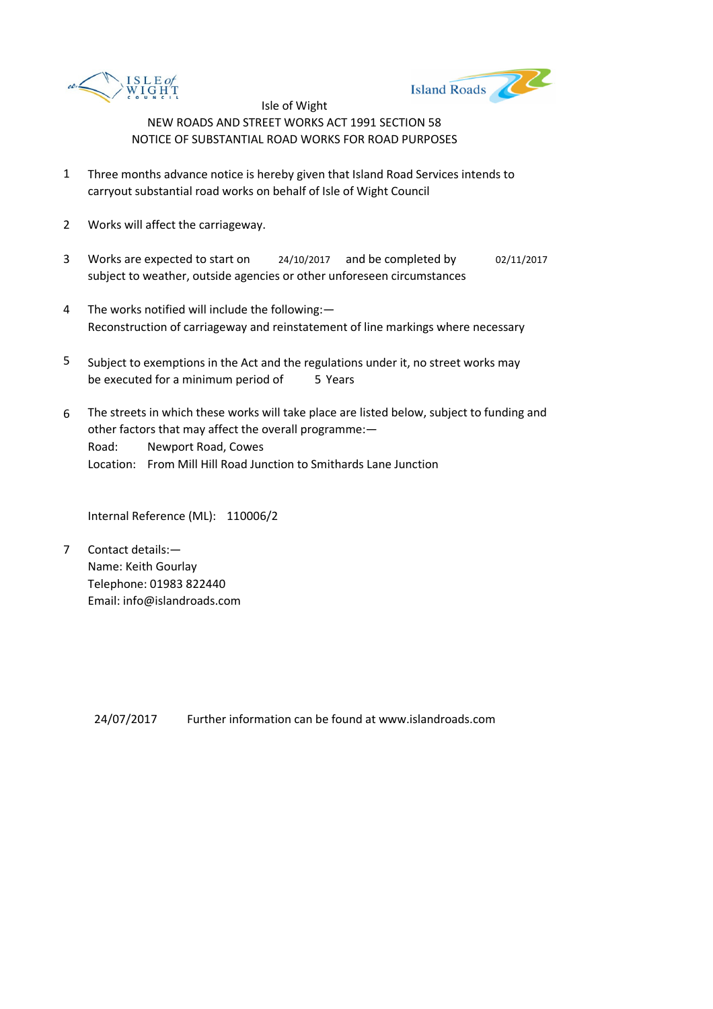



- 1 Three months advance notice is hereby given that Island Road Services intends to carryout substantial road works on behalf of Isle of Wight Council
- 2 Works will affect the carriageway.
- 3 Works are expected to start on <br>24/10/2017 and be completed by 02/11/2017 subject to weather, outside agencies or other unforeseen circumstances
- 4 The works notified will include the following:— Reconstruction of carriageway and reinstatement of line markings where necessary
- 5 be executed for a minimum period of 5 Years Subject to exemptions in the Act and the regulations under it, no street works may
- 6 Road: Newport Road, Cowes Location: From Mill Hill Road Junction to Smithards Lane Junction The streets in which these works will take place are listed below, subject to funding and other factors that may affect the overall programme:—

Internal Reference (ML): 110006/2

7 Contact details:— Name: Keith Gourlay Telephone: 01983 822440 Email: info@islandroads.com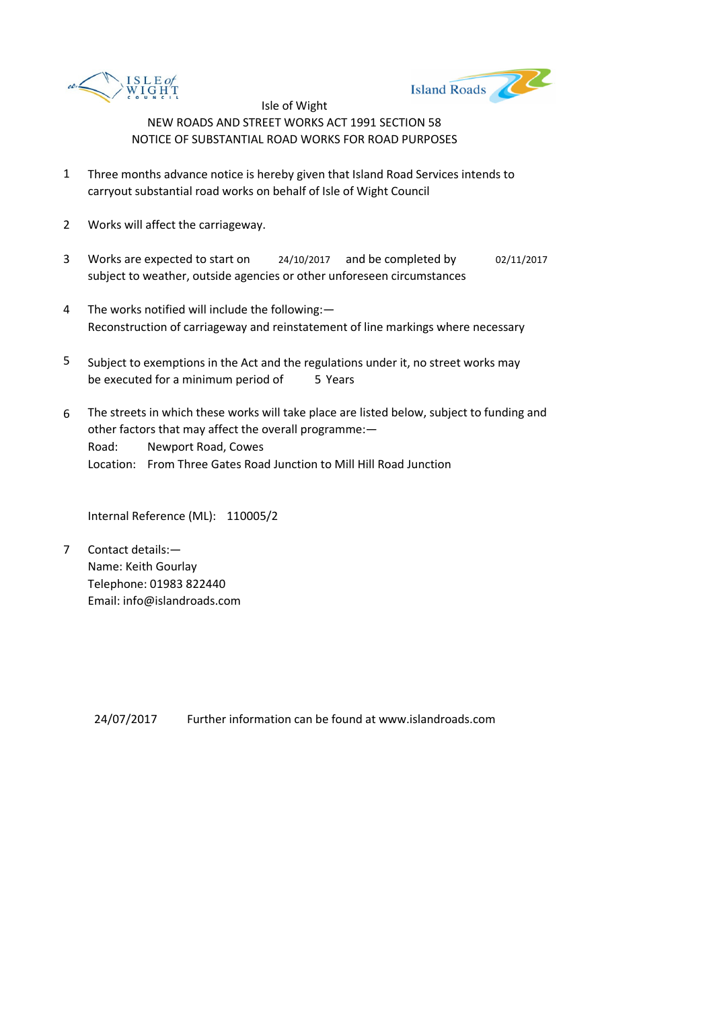



- 1 Three months advance notice is hereby given that Island Road Services intends to carryout substantial road works on behalf of Isle of Wight Council
- 2 Works will affect the carriageway.
- 3 Works are expected to start on <br>24/10/2017 and be completed by 02/11/2017 subject to weather, outside agencies or other unforeseen circumstances
- 4 The works notified will include the following:— Reconstruction of carriageway and reinstatement of line markings where necessary
- 5 be executed for a minimum period of 5 Years Subject to exemptions in the Act and the regulations under it, no street works may
- 6 Road: Newport Road, Cowes Location: From Three Gates Road Junction to Mill Hill Road Junction The streets in which these works will take place are listed below, subject to funding and other factors that may affect the overall programme:—

Internal Reference (ML): 110005/2

7 Contact details:— Name: Keith Gourlay Telephone: 01983 822440 Email: info@islandroads.com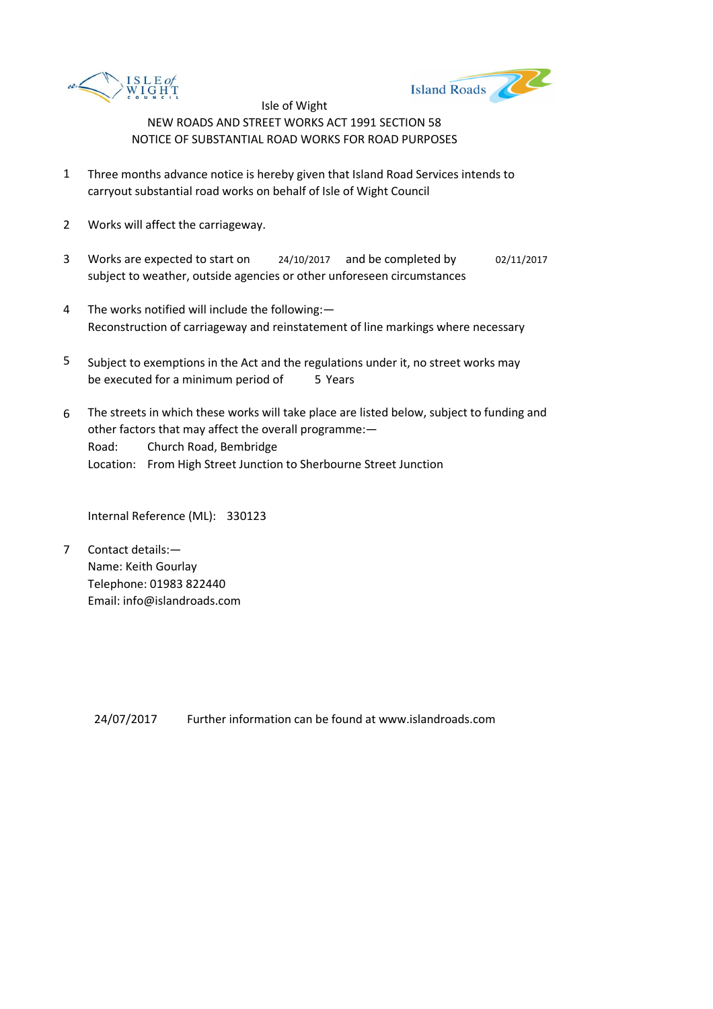



- 1 Three months advance notice is hereby given that Island Road Services intends to carryout substantial road works on behalf of Isle of Wight Council
- 2 Works will affect the carriageway.
- 3 Works are expected to start on <br>24/10/2017 and be completed by 02/11/2017 subject to weather, outside agencies or other unforeseen circumstances
- 4 The works notified will include the following:— Reconstruction of carriageway and reinstatement of line markings where necessary
- 5 be executed for a minimum period of 5 Years Subject to exemptions in the Act and the regulations under it, no street works may
- 6 Road: Church Road, Bembridge Location: From High Street Junction to Sherbourne Street Junction The streets in which these works will take place are listed below, subject to funding and other factors that may affect the overall programme:—

Internal Reference (ML): 330123

7 Contact details:— Name: Keith Gourlay Telephone: 01983 822440 Email: info@islandroads.com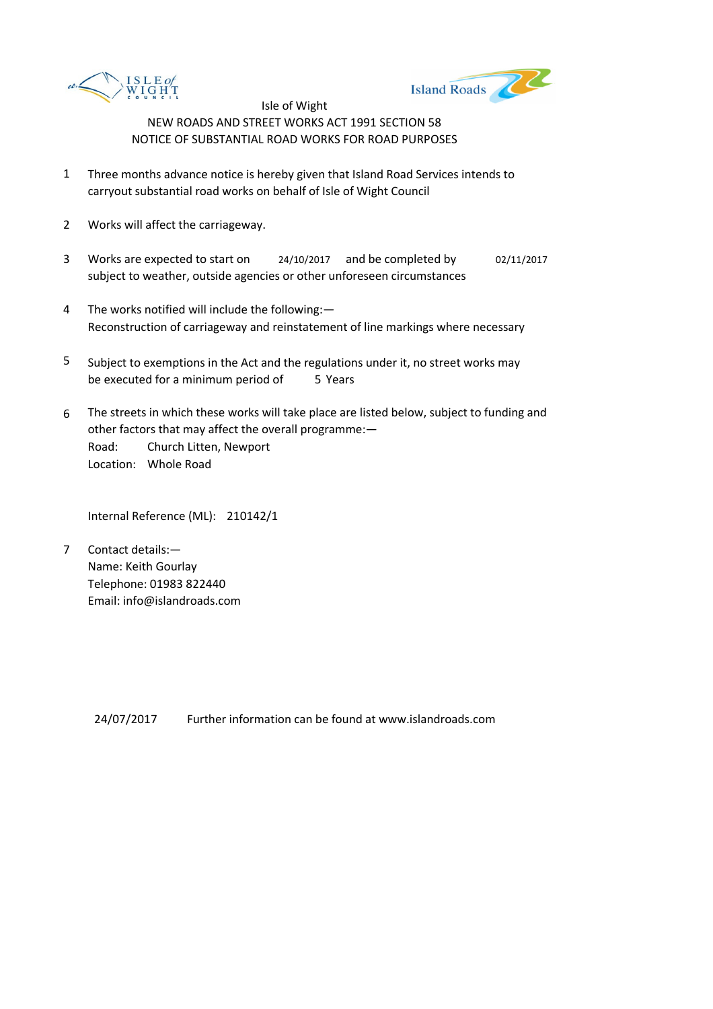



- 1 Three months advance notice is hereby given that Island Road Services intends to carryout substantial road works on behalf of Isle of Wight Council
- 2 Works will affect the carriageway.
- 3 Works are expected to start on <br>24/10/2017 and be completed by 02/11/2017 subject to weather, outside agencies or other unforeseen circumstances
- 4 The works notified will include the following:— Reconstruction of carriageway and reinstatement of line markings where necessary
- 5 be executed for a minimum period of 5 Years Subject to exemptions in the Act and the regulations under it, no street works may
- 6 Road: Church Litten, Newport Location: Whole Road The streets in which these works will take place are listed below, subject to funding and other factors that may affect the overall programme:—

Internal Reference (ML): 210142/1

7 Contact details:— Name: Keith Gourlay Telephone: 01983 822440 Email: info@islandroads.com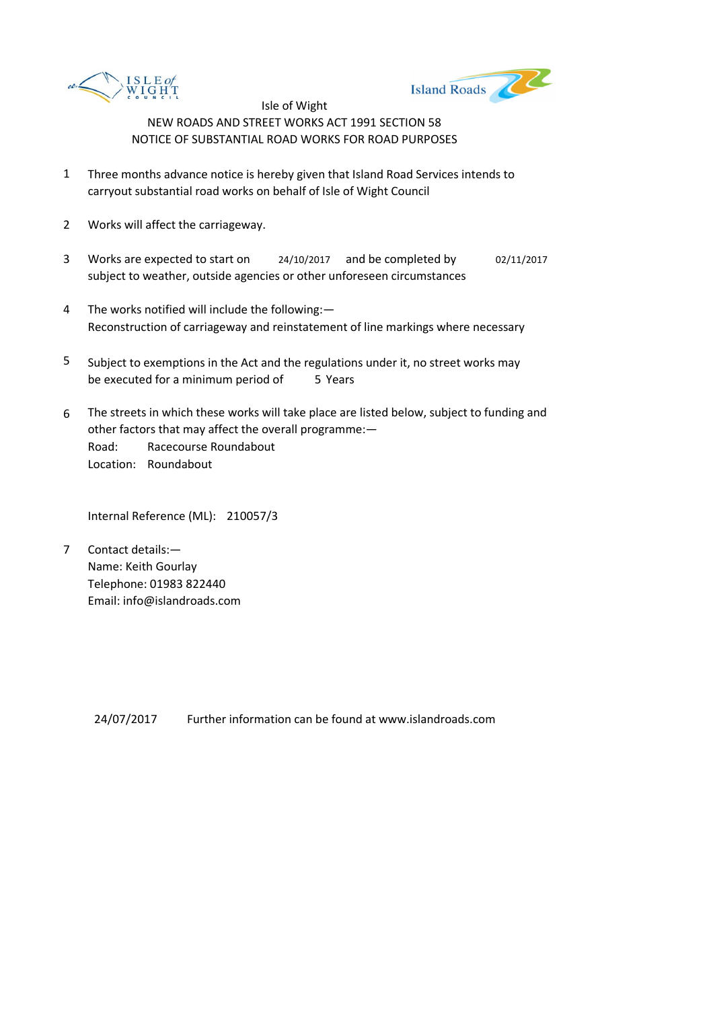



- 1 Three months advance notice is hereby given that Island Road Services intends to carryout substantial road works on behalf of Isle of Wight Council
- 2 Works will affect the carriageway.
- 3 Works are expected to start on <br>24/10/2017 and be completed by 02/11/2017 subject to weather, outside agencies or other unforeseen circumstances
- 4 The works notified will include the following:— Reconstruction of carriageway and reinstatement of line markings where necessary
- 5 be executed for a minimum period of 5 Years Subject to exemptions in the Act and the regulations under it, no street works may
- 6 Road: Racecourse Roundabout Location: Roundabout The streets in which these works will take place are listed below, subject to funding and other factors that may affect the overall programme:—

Internal Reference (ML): 210057/3

7 Contact details:— Name: Keith Gourlay Telephone: 01983 822440 Email: info@islandroads.com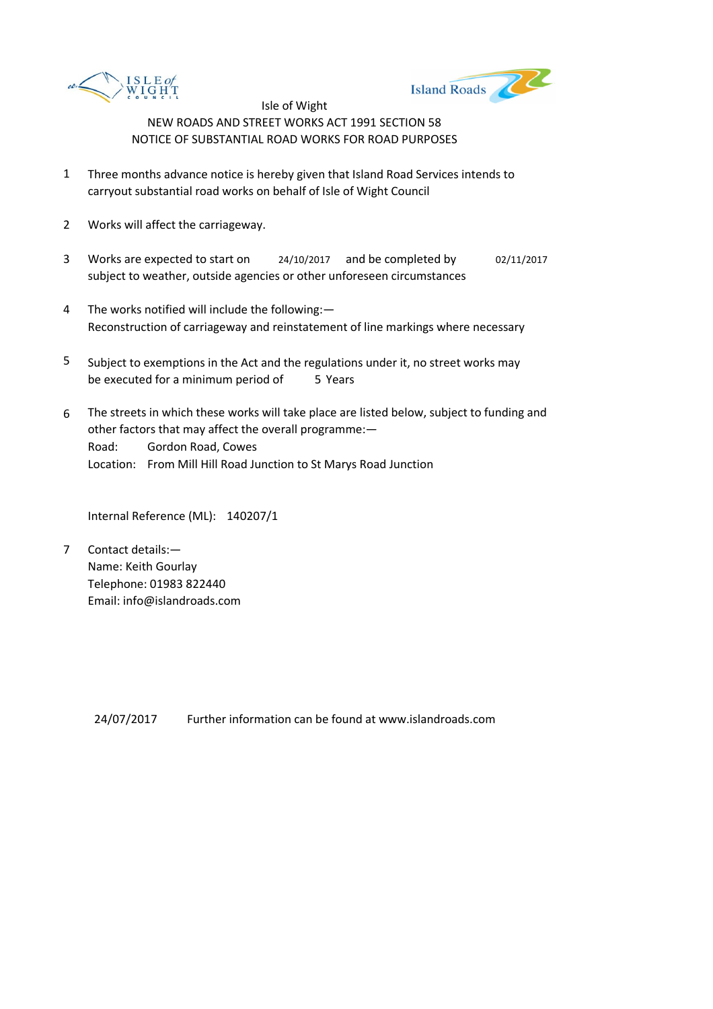



- 1 Three months advance notice is hereby given that Island Road Services intends to carryout substantial road works on behalf of Isle of Wight Council
- 2 Works will affect the carriageway.
- 3 Works are expected to start on <br>24/10/2017 and be completed by 02/11/2017 subject to weather, outside agencies or other unforeseen circumstances
- 4 The works notified will include the following:— Reconstruction of carriageway and reinstatement of line markings where necessary
- 5 be executed for a minimum period of 5 Years Subject to exemptions in the Act and the regulations under it, no street works may
- 6 Road: Gordon Road, Cowes Location: From Mill Hill Road Junction to St Marys Road Junction The streets in which these works will take place are listed below, subject to funding and other factors that may affect the overall programme:—

Internal Reference (ML): 140207/1

7 Contact details:— Name: Keith Gourlay Telephone: 01983 822440 Email: info@islandroads.com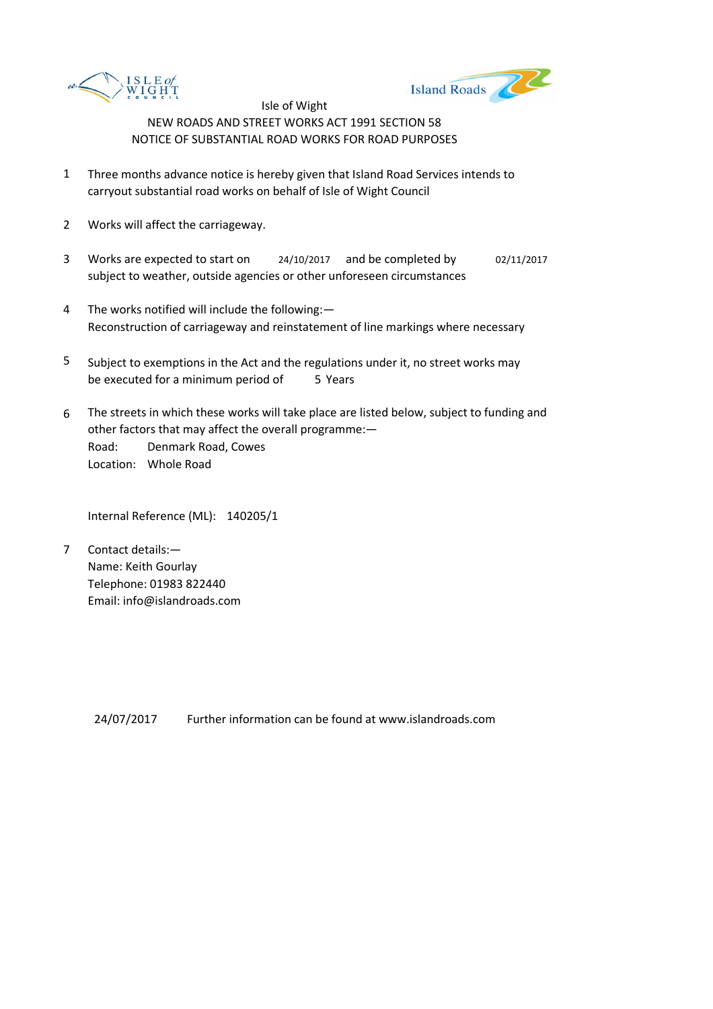



- 1 Three months advance notice is hereby given that Island Road Services intends to carryout substantial road works on behalf of Isle of Wight Council
- 2 Works will affect the carriageway.
- 3 Works are expected to start on <br>24/10/2017 and be completed by 02/11/2017 subject to weather, outside agencies or other unforeseen circumstances
- 4 The works notified will include the following:— Reconstruction of carriageway and reinstatement of line markings where necessary
- 5 be executed for a minimum period of 5 Years Subject to exemptions in the Act and the regulations under it, no street works may
- 6 Road: Denmark Road, Cowes Location: Whole Road The streets in which these works will take place are listed below, subject to funding and other factors that may affect the overall programme:—

Internal Reference (ML): 140205/1

7 Contact details:— Name: Keith Gourlay Telephone: 01983 822440 Email: info@islandroads.com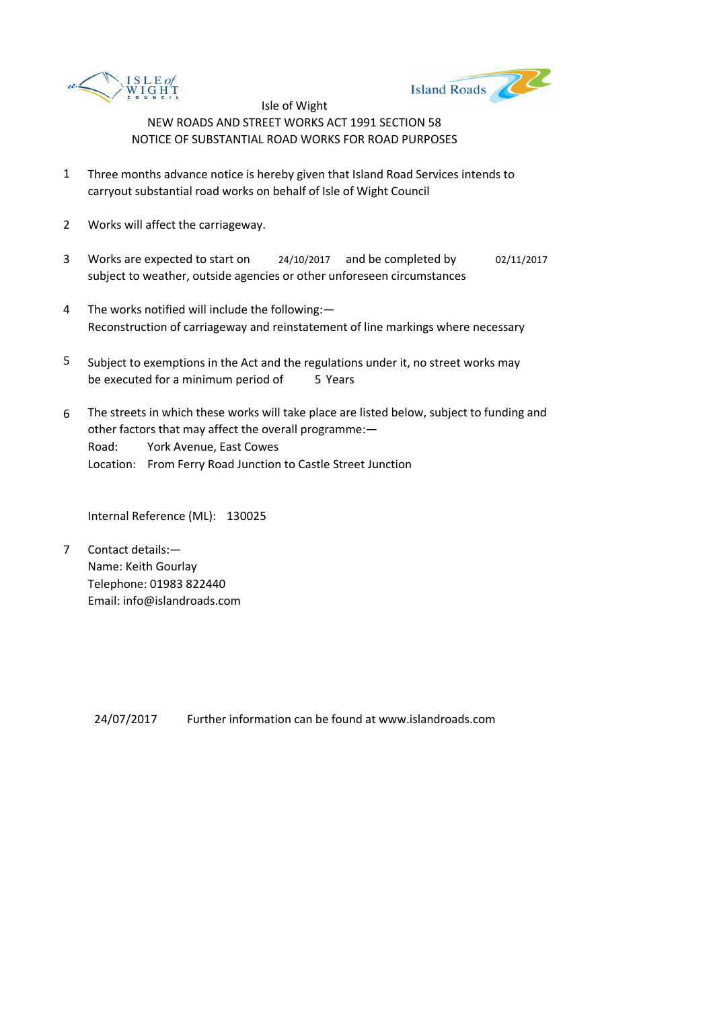



- 1 Three months advance notice is hereby given that Island Road Services intends to carryout substantial road works on behalf of Isle of Wight Council
- 2 Works will affect the carriageway.
- 3 Works are expected to start on <br>24/10/2017 and be completed by 02/11/2017 subject to weather, outside agencies or other unforeseen circumstances
- 4 The works notified will include the following:— Reconstruction of carriageway and reinstatement of line markings where necessary
- 5 be executed for a minimum period of 5 Years Subject to exemptions in the Act and the regulations under it, no street works may
- 6 Road: York Avenue, East Cowes Location: From Ferry Road Junction to Castle Street Junction The streets in which these works will take place are listed below, subject to funding and other factors that may affect the overall programme:—

Internal Reference (ML): 130025

7 Contact details:— Name: Keith Gourlay Telephone: 01983 822440 Email: info@islandroads.com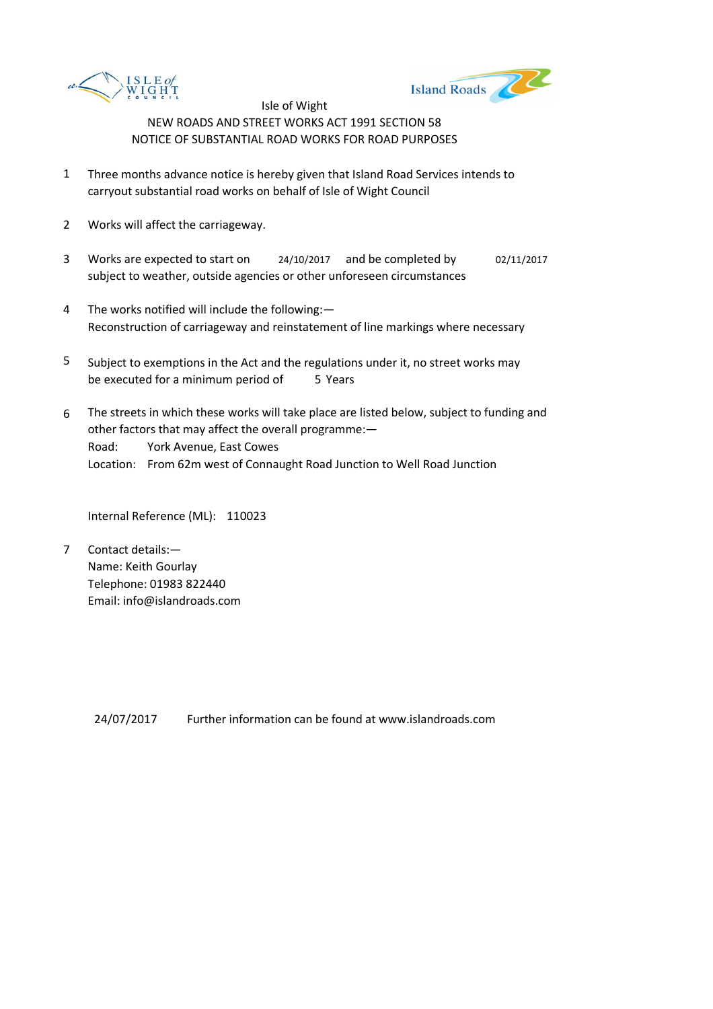



- 1 Three months advance notice is hereby given that Island Road Services intends to carryout substantial road works on behalf of Isle of Wight Council
- 2 Works will affect the carriageway.
- 3 Works are expected to start on <br>24/10/2017 and be completed by 02/11/2017 subject to weather, outside agencies or other unforeseen circumstances
- 4 The works notified will include the following:— Reconstruction of carriageway and reinstatement of line markings where necessary
- 5 be executed for a minimum period of 5 Years Subject to exemptions in the Act and the regulations under it, no street works may
- 6 Road: York Avenue, East Cowes Location: From 62m west of Connaught Road Junction to Well Road Junction The streets in which these works will take place are listed below, subject to funding and other factors that may affect the overall programme:—

Internal Reference (ML): 110023

7 Contact details:— Name: Keith Gourlay Telephone: 01983 822440 Email: info@islandroads.com